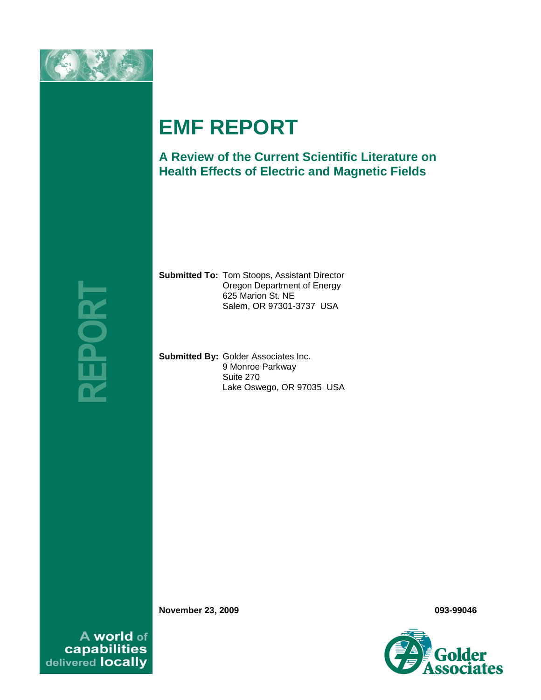

# **EMF REPORT**

**A Review of the Current Scientific Literature on Health Effects of Electric and Magnetic Fields** 

**REPORT**

**Submitted To:** Tom Stoops, Assistant Director Oregon Department of Energy 625 Marion St. NE Salem, OR 97301-3737 USA

**Submitted By:** Golder Associates Inc. 9 Monroe Parkway Suite 270 Lake Oswego, OR 97035 USA

**November 23, 2009 093-99046**

A world of capabilities<br>delivered locally

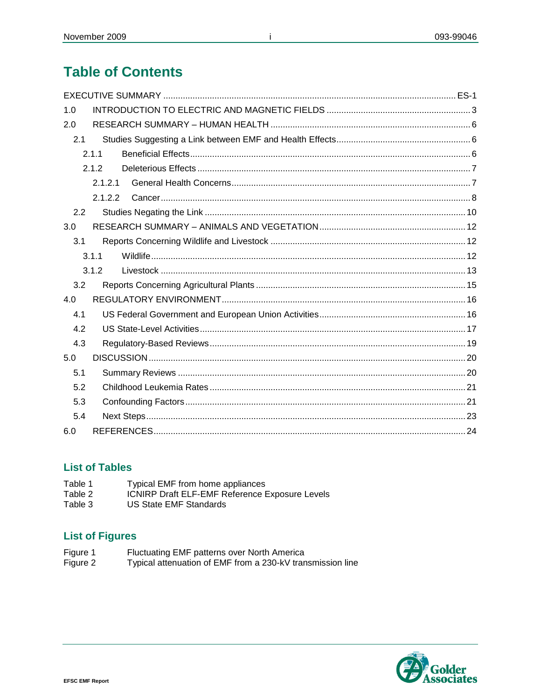# **Table of Contents**

| 1.0 |       |  |
|-----|-------|--|
| 2.0 |       |  |
| 2.1 |       |  |
|     | 2.1.1 |  |
|     | 2.1.2 |  |
|     | 2121  |  |
|     | 2122  |  |
| 2.2 |       |  |
| 3.0 |       |  |
| 3.1 |       |  |
|     | 3.1.1 |  |
|     | 3.1.2 |  |
| 3.2 |       |  |
| 4.0 |       |  |
| 4.1 |       |  |
| 4.2 |       |  |
| 4.3 |       |  |
| 5.0 |       |  |
| 5.1 |       |  |
| 5.2 |       |  |
| 5.3 |       |  |
| 5.4 |       |  |
| 6.0 |       |  |

j.

# **List of Tables**

- Table 1 Typical EMF from home appliances
- Table 2 ICNIRP Draft ELF-EMF Reference Exposure Levels
- Table 3 **US State EMF Standards**

# **List of Figures**

- Figure 1<br>Figure 2
- Fluctuating EMF patterns over North America<br>Typical attenuation of EMF from a 230-kV transmission line

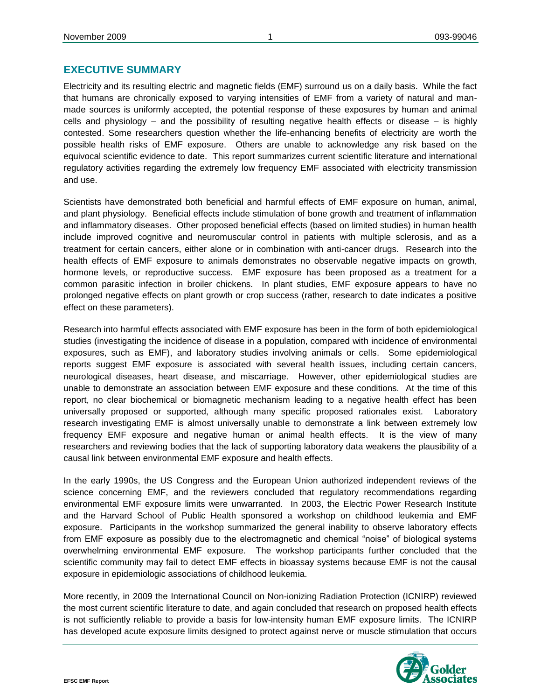#### **EXECUTIVE SUMMARY**

Electricity and its resulting electric and magnetic fields (EMF) surround us on a daily basis. While the fact that humans are chronically exposed to varying intensities of EMF from a variety of natural and manmade sources is uniformly accepted, the potential response of these exposures by human and animal cells and physiology – and the possibility of resulting negative health effects or disease – is highly contested. Some researchers question whether the life-enhancing benefits of electricity are worth the possible health risks of EMF exposure. Others are unable to acknowledge any risk based on the equivocal scientific evidence to date. This report summarizes current scientific literature and international regulatory activities regarding the extremely low frequency EMF associated with electricity transmission and use.

Scientists have demonstrated both beneficial and harmful effects of EMF exposure on human, animal, and plant physiology. Beneficial effects include stimulation of bone growth and treatment of inflammation and inflammatory diseases. Other proposed beneficial effects (based on limited studies) in human health include improved cognitive and neuromuscular control in patients with multiple sclerosis, and as a treatment for certain cancers, either alone or in combination with anti-cancer drugs. Research into the health effects of EMF exposure to animals demonstrates no observable negative impacts on growth, hormone levels, or reproductive success. EMF exposure has been proposed as a treatment for a common parasitic infection in broiler chickens. In plant studies, EMF exposure appears to have no prolonged negative effects on plant growth or crop success (rather, research to date indicates a positive effect on these parameters).

Research into harmful effects associated with EMF exposure has been in the form of both epidemiological studies (investigating the incidence of disease in a population, compared with incidence of environmental exposures, such as EMF), and laboratory studies involving animals or cells. Some epidemiological reports suggest EMF exposure is associated with several health issues, including certain cancers, neurological diseases, heart disease, and miscarriage. However, other epidemiological studies are unable to demonstrate an association between EMF exposure and these conditions. At the time of this report, no clear biochemical or biomagnetic mechanism leading to a negative health effect has been universally proposed or supported, although many specific proposed rationales exist. Laboratory research investigating EMF is almost universally unable to demonstrate a link between extremely low frequency EMF exposure and negative human or animal health effects. It is the view of many researchers and reviewing bodies that the lack of supporting laboratory data weakens the plausibility of a causal link between environmental EMF exposure and health effects.

In the early 1990s, the US Congress and the European Union authorized independent reviews of the science concerning EMF, and the reviewers concluded that regulatory recommendations regarding environmental EMF exposure limits were unwarranted. In 2003, the Electric Power Research Institute and the Harvard School of Public Health sponsored a workshop on childhood leukemia and EMF exposure. Participants in the workshop summarized the general inability to observe laboratory effects from EMF exposure as possibly due to the electromagnetic and chemical "noise" of biological systems overwhelming environmental EMF exposure. The workshop participants further concluded that the scientific community may fail to detect EMF effects in bioassay systems because EMF is not the causal exposure in epidemiologic associations of childhood leukemia.

More recently, in 2009 the International Council on Non-ionizing Radiation Protection (ICNIRP) reviewed the most current scientific literature to date, and again concluded that research on proposed health effects is not sufficiently reliable to provide a basis for low-intensity human EMF exposure limits. The ICNIRP has developed acute exposure limits designed to protect against nerve or muscle stimulation that occurs

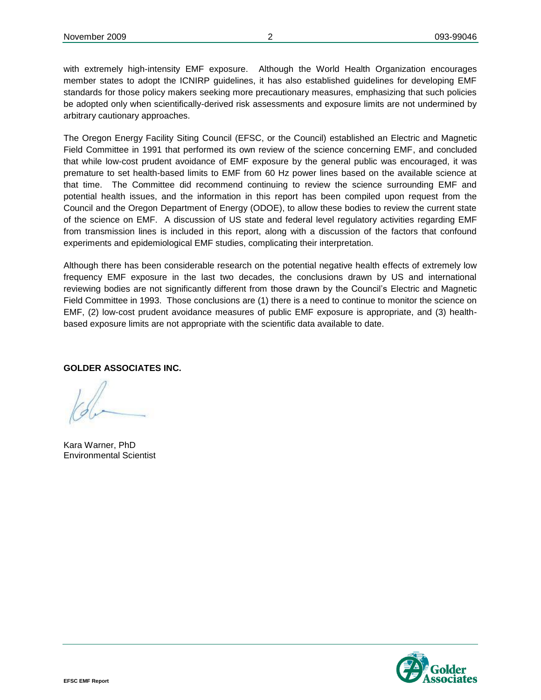with extremely high-intensity EMF exposure. Although the World Health Organization encourages member states to adopt the ICNIRP guidelines, it has also established guidelines for developing EMF standards for those policy makers seeking more precautionary measures, emphasizing that such policies be adopted only when scientifically-derived risk assessments and exposure limits are not undermined by arbitrary cautionary approaches.

The Oregon Energy Facility Siting Council (EFSC, or the Council) established an Electric and Magnetic Field Committee in 1991 that performed its own review of the science concerning EMF, and concluded that while low-cost prudent avoidance of EMF exposure by the general public was encouraged, it was premature to set health-based limits to EMF from 60 Hz power lines based on the available science at that time. The Committee did recommend continuing to review the science surrounding EMF and potential health issues, and the information in this report has been compiled upon request from the Council and the Oregon Department of Energy (ODOE), to allow these bodies to review the current state of the science on EMF. A discussion of US state and federal level regulatory activities regarding EMF from transmission lines is included in this report, along with a discussion of the factors that confound experiments and epidemiological EMF studies, complicating their interpretation.

Although there has been considerable research on the potential negative health effects of extremely low frequency EMF exposure in the last two decades, the conclusions drawn by US and international reviewing bodies are not significantly different from those drawn by the Council's Electric and Magnetic Field Committee in 1993. Those conclusions are (1) there is a need to continue to monitor the science on EMF, (2) low-cost prudent avoidance measures of public EMF exposure is appropriate, and (3) healthbased exposure limits are not appropriate with the scientific data available to date.

**GOLDER ASSOCIATES INC.** 

Kara Warner, PhD Environmental Scientist

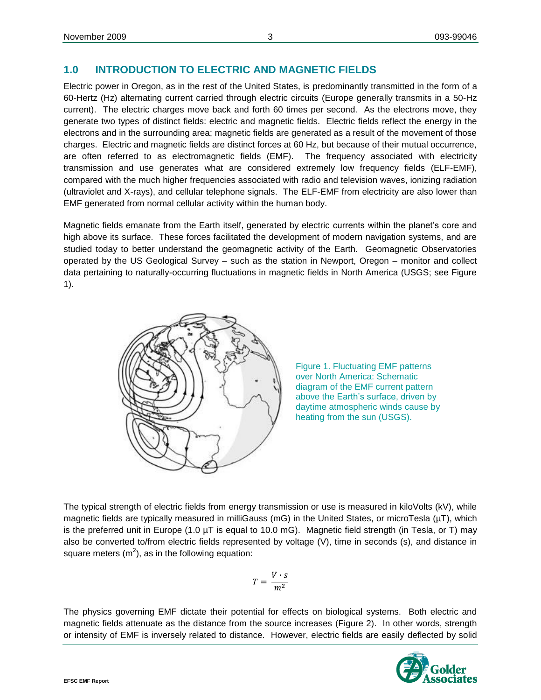# <span id="page-4-0"></span>**1.0 INTRODUCTION TO ELECTRIC AND MAGNETIC FIELDS**

Electric power in Oregon, as in the rest of the United States, is predominantly transmitted in the form of a 60-Hertz (Hz) alternating current carried through electric circuits (Europe generally transmits in a 50-Hz current). The electric charges move back and forth 60 times per second. As the electrons move, they generate two types of distinct fields: electric and magnetic fields. Electric fields reflect the energy in the electrons and in the surrounding area; magnetic fields are generated as a result of the movement of those charges. Electric and magnetic fields are distinct forces at 60 Hz, but because of their mutual occurrence, are often referred to as electromagnetic fields (EMF). The frequency associated with electricity transmission and use generates what are considered extremely low frequency fields (ELF-EMF), compared with the much higher frequencies associated with radio and television waves, ionizing radiation (ultraviolet and X-rays), and cellular telephone signals. The ELF-EMF from electricity are also lower than EMF generated from normal cellular activity within the human body.

Magnetic fields emanate from the Earth itself, generated by electric currents within the planet's core and high above its surface. These forces facilitated the development of modern navigation systems, and are studied today to better understand the geomagnetic activity of the Earth. Geomagnetic Observatories operated by the US Geological Survey – such as the station in Newport, Oregon – monitor and collect data pertaining to naturally-occurring fluctuations in magnetic fields in North America (USGS; see Figure 1).





The typical strength of electric fields from energy transmission or use is measured in kiloVolts (kV), while magnetic fields are typically measured in milliGauss (mG) in the United States, or microTesla (µT), which is the preferred unit in Europe (1.0  $\mu$ T is equal to 10.0 mG). Magnetic field strength (in Tesla, or T) may also be converted to/from electric fields represented by voltage (V), time in seconds (s), and distance in square meters  $(m^2)$ , as in the following equation:

$$
T = \frac{V \cdot s}{m^2}
$$

The physics governing EMF dictate their potential for effects on biological systems. Both electric and magnetic fields attenuate as the distance from the source increases (Figure 2). In other words, strength or intensity of EMF is inversely related to distance. However, electric fields are easily deflected by solid

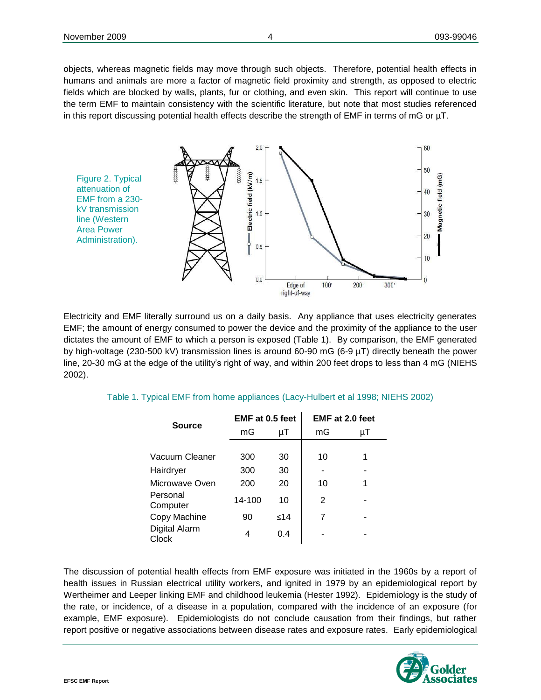objects, whereas magnetic fields may move through such objects. Therefore, potential health effects in humans and animals are more a factor of magnetic field proximity and strength, as opposed to electric fields which are blocked by walls, plants, fur or clothing, and even skin. This report will continue to use the term EMF to maintain consistency with the scientific literature, but note that most studies referenced in this report discussing potential health effects describe the strength of EMF in terms of mG or µT.



Electricity and EMF literally surround us on a daily basis. Any appliance that uses electricity generates EMF; the amount of energy consumed to power the device and the proximity of the appliance to the user dictates the amount of EMF to which a person is exposed (Table 1). By comparison, the EMF generated by high-voltage (230-500 kV) transmission lines is around 60-90 mG (6-9 µT) directly beneath the power line, 20-30 mG at the edge of the utility's right of way, and within 200 feet drops to less than 4 mG (NIEHS 2002).

|                        | EMF at 0.5 feet |      | EMF at 2.0 feet |    |
|------------------------|-----------------|------|-----------------|----|
| <b>Source</b>          | mG              | μT   | mG              | μT |
|                        |                 |      |                 |    |
| Vacuum Cleaner         | 300             | 30   | 10              | 1  |
| Hairdryer              | 300             | 30   |                 |    |
| Microwave Oven         | 200             | 20   | 10              | 1  |
| Personal<br>Computer   | 14-100          | 10   | 2               |    |
| Copy Machine           | 90              | < 14 | 7               |    |
| Digital Alarm<br>Clock | 4               | 0.4  |                 |    |

Table 1. Typical EMF from home appliances (Lacy-Hulbert et al 1998; NIEHS 2002)

The discussion of potential health effects from EMF exposure was initiated in the 1960s by a report of health issues in Russian electrical utility workers, and ignited in 1979 by an epidemiological report by Wertheimer and Leeper linking EMF and childhood leukemia (Hester 1992). Epidemiology is the study of the rate, or incidence, of a disease in a population, compared with the incidence of an exposure (for example, EMF exposure). Epidemiologists do not conclude causation from their findings, but rather report positive or negative associations between disease rates and exposure rates. Early epidemiological

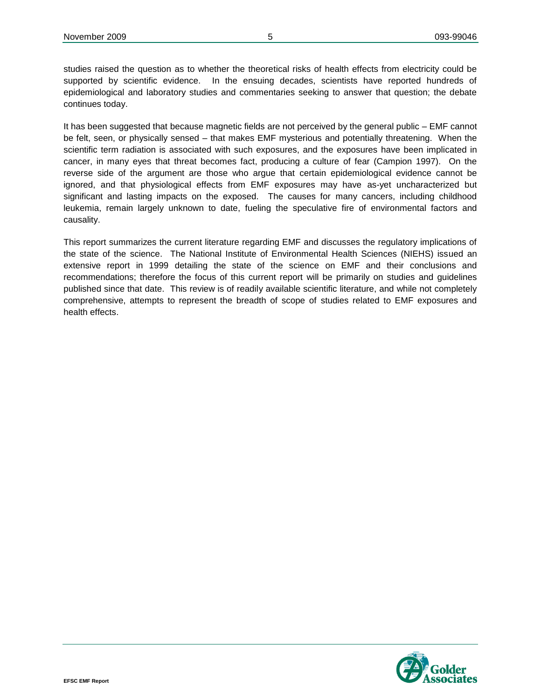studies raised the question as to whether the theoretical risks of health effects from electricity could be supported by scientific evidence. In the ensuing decades, scientists have reported hundreds of epidemiological and laboratory studies and commentaries seeking to answer that question; the debate continues today.

It has been suggested that because magnetic fields are not perceived by the general public – EMF cannot be felt, seen, or physically sensed – that makes EMF mysterious and potentially threatening. When the scientific term radiation is associated with such exposures, and the exposures have been implicated in cancer, in many eyes that threat becomes fact, producing a culture of fear (Campion 1997). On the reverse side of the argument are those who argue that certain epidemiological evidence cannot be ignored, and that physiological effects from EMF exposures may have as-yet uncharacterized but significant and lasting impacts on the exposed. The causes for many cancers, including childhood leukemia, remain largely unknown to date, fueling the speculative fire of environmental factors and causality.

This report summarizes the current literature regarding EMF and discusses the regulatory implications of the state of the science. The National Institute of Environmental Health Sciences (NIEHS) issued an extensive report in 1999 detailing the state of the science on EMF and their conclusions and recommendations; therefore the focus of this current report will be primarily on studies and guidelines published since that date. This review is of readily available scientific literature, and while not completely comprehensive, attempts to represent the breadth of scope of studies related to EMF exposures and health effects.

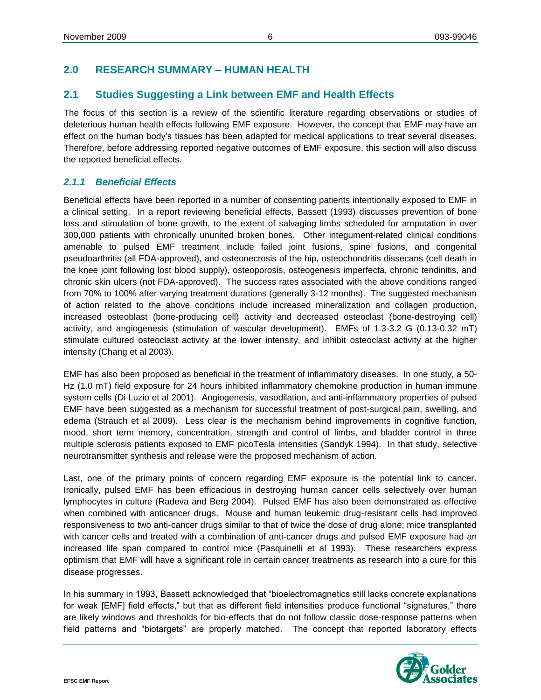# <span id="page-7-0"></span>**2.0 RESEARCH SUMMARY – HUMAN HEALTH**

# <span id="page-7-1"></span>**2.1 Studies Suggesting a Link between EMF and Health Effects**

The focus of this section is a review of the scientific literature regarding observations or studies of deleterious human health effects following EMF exposure. However, the concept that EMF may have an effect on the human body's tissues has been adapted for medical applications to treat several diseases. Therefore, before addressing reported negative outcomes of EMF exposure, this section will also discuss the reported beneficial effects.

#### <span id="page-7-2"></span>*2.1.1 Beneficial Effects*

Beneficial effects have been reported in a number of consenting patients intentionally exposed to EMF in a clinical setting. In a report reviewing beneficial effects, Bassett (1993) discusses prevention of bone loss and stimulation of bone growth, to the extent of salvaging limbs scheduled for amputation in over 300,000 patients with chronically ununited broken bones. Other integument-related clinical conditions amenable to pulsed EMF treatment include failed joint fusions, spine fusions, and congenital pseudoarthritis (all FDA-approved), and osteonecrosis of the hip, osteochondritis dissecans (cell death in the knee joint following lost blood supply), osteoporosis, osteogenesis imperfecta, chronic tendinitis, and chronic skin ulcers (not FDA-approved). The success rates associated with the above conditions ranged from 70% to 100% after varying treatment durations (generally 3-12 months). The suggested mechanism of action related to the above conditions include increased mineralization and collagen production, increased osteoblast (bone-producing cell) activity and decreased osteoclast (bone-destroying cell) activity, and angiogenesis (stimulation of vascular development). EMFs of 1.3-3.2 G (0.13-0.32 mT) stimulate cultured osteoclast activity at the lower intensity, and inhibit osteoclast activity at the higher intensity (Chang et al 2003).

EMF has also been proposed as beneficial in the treatment of inflammatory diseases. In one study, a 50- Hz (1.0 mT) field exposure for 24 hours inhibited inflammatory chemokine production in human immune system cells (Di Luzio et al 2001). Angiogenesis, vasodilation, and anti-inflammatory properties of pulsed EMF have been suggested as a mechanism for successful treatment of post-surgical pain, swelling, and edema (Strauch et al 2009). Less clear is the mechanism behind improvements in cognitive function, mood, short term memory, concentration, strength and control of limbs, and bladder control in three multiple sclerosis patients exposed to EMF picoTesla intensities (Sandyk 1994). In that study, selective neurotransmitter synthesis and release were the proposed mechanism of action.

Last, one of the primary points of concern regarding EMF exposure is the potential link to cancer. Ironically, pulsed EMF has been efficacious in destroying human cancer cells selectively over human lymphocytes in culture (Radeva and Berg 2004). Pulsed EMF has also been demonstrated as effective when combined with anticancer drugs. Mouse and human leukemic drug-resistant cells had improved responsiveness to two anti-cancer drugs similar to that of twice the dose of drug alone; mice transplanted with cancer cells and treated with a combination of anti-cancer drugs and pulsed EMF exposure had an increased life span compared to control mice (Pasquinelli et al 1993). These researchers express optimism that EMF will have a significant role in certain cancer treatments as research into a cure for this disease progresses.

In his summary in 1993, Bassett acknowledged that "bioelectromagnetics still lacks concrete explanations for weak [EMF] field effects," but that as different field intensities produce functional "signatures," there are likely windows and thresholds for bio-effects that do not follow classic dose-response patterns when field patterns and "biotargets" are properly matched. The concept that reported laboratory effects

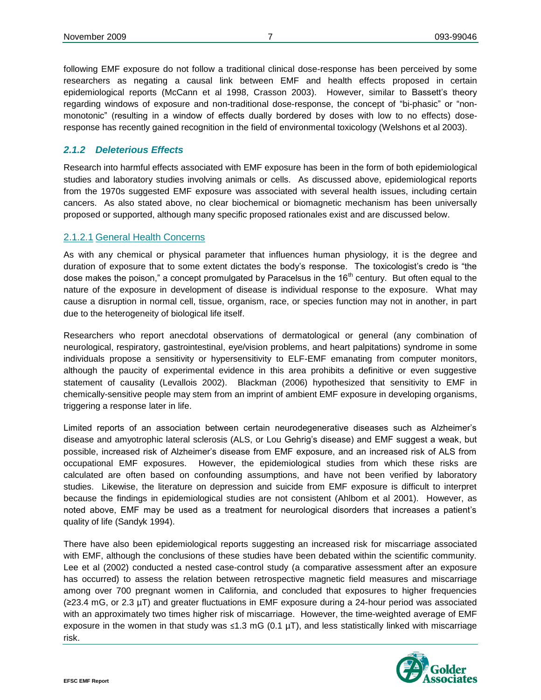following EMF exposure do not follow a traditional clinical dose-response has been perceived by some researchers as negating a causal link between EMF and health effects proposed in certain epidemiological reports (McCann et al 1998, Crasson 2003). However, similar to Bassett's theory regarding windows of exposure and non-traditional dose-response, the concept of "bi-phasic" or "nonmonotonic" (resulting in a window of effects dually bordered by doses with low to no effects) doseresponse has recently gained recognition in the field of environmental toxicology (Welshons et al 2003).

#### <span id="page-8-0"></span>*2.1.2 Deleterious Effects*

Research into harmful effects associated with EMF exposure has been in the form of both epidemiological studies and laboratory studies involving animals or cells. As discussed above, epidemiological reports from the 1970s suggested EMF exposure was associated with several health issues, including certain cancers. As also stated above, no clear biochemical or biomagnetic mechanism has been universally proposed or supported, although many specific proposed rationales exist and are discussed below.

#### <span id="page-8-1"></span>2.1.2.1 General Health Concerns

As with any chemical or physical parameter that influences human physiology, it is the degree and duration of exposure that to some extent dictates the body's response. The toxicologist's credo is "the dose makes the poison," a concept promulgated by Paracelsus in the  $16<sup>th</sup>$  century. But often equal to the nature of the exposure in development of disease is individual response to the exposure. What may cause a disruption in normal cell, tissue, organism, race, or species function may not in another, in part due to the heterogeneity of biological life itself.

Researchers who report anecdotal observations of dermatological or general (any combination of neurological, respiratory, gastrointestinal, eye/vision problems, and heart palpitations) syndrome in some individuals propose a sensitivity or hypersensitivity to ELF-EMF emanating from computer monitors, although the paucity of experimental evidence in this area prohibits a definitive or even suggestive statement of causality (Levallois 2002). Blackman (2006) hypothesized that sensitivity to EMF in chemically-sensitive people may stem from an imprint of ambient EMF exposure in developing organisms, triggering a response later in life.

Limited reports of an association between certain neurodegenerative diseases such as Alzheimer's disease and amyotrophic lateral sclerosis (ALS, or Lou Gehrig's disease) and EMF suggest a weak, but possible, increased risk of Alzheimer's disease from EMF exposure, and an increased risk of ALS from occupational EMF exposures. However, the epidemiological studies from which these risks are calculated are often based on confounding assumptions, and have not been verified by laboratory studies. Likewise, the literature on depression and suicide from EMF exposure is difficult to interpret because the findings in epidemiological studies are not consistent (Ahlbom et al 2001). However, as noted above, EMF may be used as a treatment for neurological disorders that increases a patient's quality of life (Sandyk 1994).

There have also been epidemiological reports suggesting an increased risk for miscarriage associated with EMF, although the conclusions of these studies have been debated within the scientific community. Lee et al (2002) conducted a nested case-control study (a comparative assessment after an exposure has occurred) to assess the relation between retrospective magnetic field measures and miscarriage among over 700 pregnant women in California, and concluded that exposures to higher frequencies (≥23.4 mG, or 2.3 µT) and greater fluctuations in EMF exposure during a 24-hour period was associated with an approximately two times higher risk of miscarriage. However, the time-weighted average of EMF exposure in the women in that study was ≤1.3 mG (0.1  $\mu$ T), and less statistically linked with miscarriage risk.

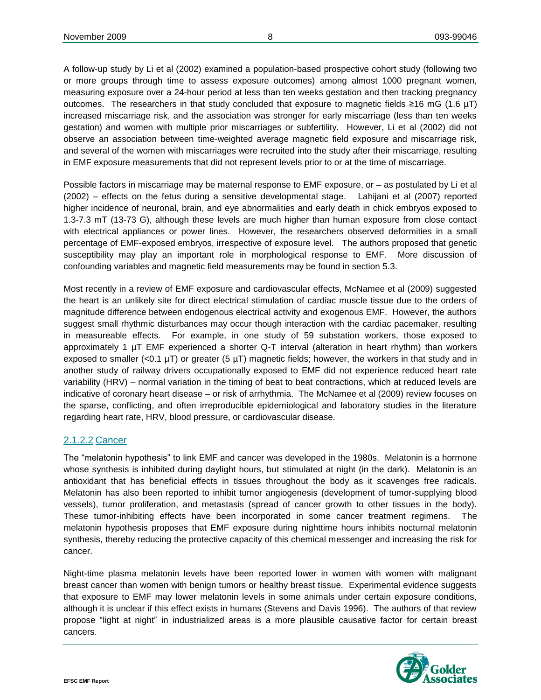A follow-up study by Li et al (2002) examined a population-based prospective cohort study (following two or more groups through time to assess exposure outcomes) among almost 1000 pregnant women, measuring exposure over a 24-hour period at less than ten weeks gestation and then tracking pregnancy outcomes. The researchers in that study concluded that exposure to magnetic fields  $\geq 16$  mG (1.6 µT) increased miscarriage risk, and the association was stronger for early miscarriage (less than ten weeks gestation) and women with multiple prior miscarriages or subfertility. However, Li et al (2002) did not observe an association between time-weighted average magnetic field exposure and miscarriage risk, and several of the women with miscarriages were recruited into the study after their miscarriage, resulting in EMF exposure measurements that did not represent levels prior to or at the time of miscarriage.

Possible factors in miscarriage may be maternal response to EMF exposure, or – as postulated by Li et al (2002) – effects on the fetus during a sensitive developmental stage. Lahijani et al (2007) reported higher incidence of neuronal, brain, and eye abnormalities and early death in chick embryos exposed to 1.3-7.3 mT (13-73 G), although these levels are much higher than human exposure from close contact with electrical appliances or power lines. However, the researchers observed deformities in a small percentage of EMF-exposed embryos, irrespective of exposure level. The authors proposed that genetic susceptibility may play an important role in morphological response to EMF. More discussion of confounding variables and magnetic field measurements may be found in section 5.3.

Most recently in a review of EMF exposure and cardiovascular effects, McNamee et al (2009) suggested the heart is an unlikely site for direct electrical stimulation of cardiac muscle tissue due to the orders of magnitude difference between endogenous electrical activity and exogenous EMF. However, the authors suggest small rhythmic disturbances may occur though interaction with the cardiac pacemaker, resulting in measureable effects. For example, in one study of 59 substation workers, those exposed to approximately 1 µT EMF experienced a shorter Q-T interval (alteration in heart rhythm) than workers exposed to smaller (<0.1  $\mu$ T) or greater (5  $\mu$ T) magnetic fields; however, the workers in that study and in another study of railway drivers occupationally exposed to EMF did not experience reduced heart rate variability (HRV) – normal variation in the timing of beat to beat contractions, which at reduced levels are indicative of coronary heart disease – or risk of arrhythmia. The McNamee et al (2009) review focuses on the sparse, conflicting, and often irreproducible epidemiological and laboratory studies in the literature regarding heart rate, HRV, blood pressure, or cardiovascular disease.

#### <span id="page-9-0"></span>2.1.2.2 Cancer

The "melatonin hypothesis" to link EMF and cancer was developed in the 1980s. Melatonin is a hormone whose synthesis is inhibited during daylight hours, but stimulated at night (in the dark). Melatonin is an antioxidant that has beneficial effects in tissues throughout the body as it scavenges free radicals. Melatonin has also been reported to inhibit tumor angiogenesis (development of tumor-supplying blood vessels), tumor proliferation, and metastasis (spread of cancer growth to other tissues in the body). These tumor-inhibiting effects have been incorporated in some cancer treatment regimens. The melatonin hypothesis proposes that EMF exposure during nighttime hours inhibits nocturnal melatonin synthesis, thereby reducing the protective capacity of this chemical messenger and increasing the risk for cancer.

Night-time plasma melatonin levels have been reported lower in women with women with malignant breast cancer than women with benign tumors or healthy breast tissue. Experimental evidence suggests that exposure to EMF may lower melatonin levels in some animals under certain exposure conditions, although it is unclear if this effect exists in humans (Stevens and Davis 1996). The authors of that review propose "light at night" in industrialized areas is a more plausible causative factor for certain breast cancers.

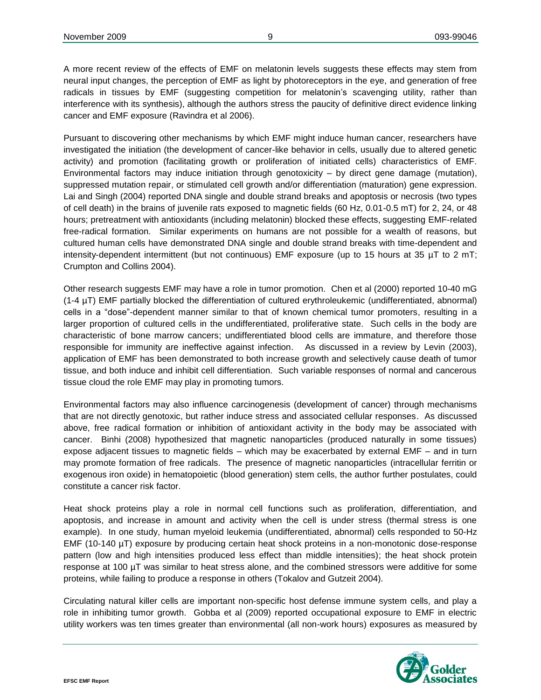A more recent review of the effects of EMF on melatonin levels suggests these effects may stem from neural input changes, the perception of EMF as light by photoreceptors in the eye, and generation of free radicals in tissues by EMF (suggesting competition for melatonin's scavenging utility, rather than interference with its synthesis), although the authors stress the paucity of definitive direct evidence linking cancer and EMF exposure (Ravindra et al 2006).

Pursuant to discovering other mechanisms by which EMF might induce human cancer, researchers have investigated the initiation (the development of cancer-like behavior in cells, usually due to altered genetic activity) and promotion (facilitating growth or proliferation of initiated cells) characteristics of EMF. Environmental factors may induce initiation through genotoxicity  $-$  by direct gene damage (mutation), suppressed mutation repair, or stimulated cell growth and/or differentiation (maturation) gene expression. Lai and Singh (2004) reported DNA single and double strand breaks and apoptosis or necrosis (two types of cell death) in the brains of juvenile rats exposed to magnetic fields (60 Hz, 0.01-0.5 mT) for 2, 24, or 48 hours; pretreatment with antioxidants (including melatonin) blocked these effects, suggesting EMF-related free-radical formation. Similar experiments on humans are not possible for a wealth of reasons, but cultured human cells have demonstrated DNA single and double strand breaks with time-dependent and intensity-dependent intermittent (but not continuous) EMF exposure (up to 15 hours at 35 µT to 2 mT; Crumpton and Collins 2004).

Other research suggests EMF may have a role in tumor promotion. Chen et al (2000) reported 10-40 mG (1-4 µT) EMF partially blocked the differentiation of cultured erythroleukemic (undifferentiated, abnormal) cells in a "dose"-dependent manner similar to that of known chemical tumor promoters, resulting in a larger proportion of cultured cells in the undifferentiated, proliferative state. Such cells in the body are characteristic of bone marrow cancers; undifferentiated blood cells are immature, and therefore those responsible for immunity are ineffective against infection. As discussed in a review by Levin (2003), application of EMF has been demonstrated to both increase growth and selectively cause death of tumor tissue, and both induce and inhibit cell differentiation. Such variable responses of normal and cancerous tissue cloud the role EMF may play in promoting tumors.

Environmental factors may also influence carcinogenesis (development of cancer) through mechanisms that are not directly genotoxic, but rather induce stress and associated cellular responses. As discussed above, free radical formation or inhibition of antioxidant activity in the body may be associated with cancer. Binhi (2008) hypothesized that magnetic nanoparticles (produced naturally in some tissues) expose adjacent tissues to magnetic fields – which may be exacerbated by external EMF – and in turn may promote formation of free radicals. The presence of magnetic nanoparticles (intracellular ferritin or exogenous iron oxide) in hematopoietic (blood generation) stem cells, the author further postulates, could constitute a cancer risk factor.

Heat shock proteins play a role in normal cell functions such as proliferation, differentiation, and apoptosis, and increase in amount and activity when the cell is under stress (thermal stress is one example). In one study, human myeloid leukemia (undifferentiated, abnormal) cells responded to 50-Hz EMF (10-140 µT) exposure by producing certain heat shock proteins in a non-monotonic dose-response pattern (low and high intensities produced less effect than middle intensities); the heat shock protein response at 100 µT was similar to heat stress alone, and the combined stressors were additive for some proteins, while failing to produce a response in others (Tokalov and Gutzeit 2004).

Circulating natural killer cells are important non-specific host defense immune system cells, and play a role in inhibiting tumor growth. Gobba et al (2009) reported occupational exposure to EMF in electric utility workers was ten times greater than environmental (all non-work hours) exposures as measured by

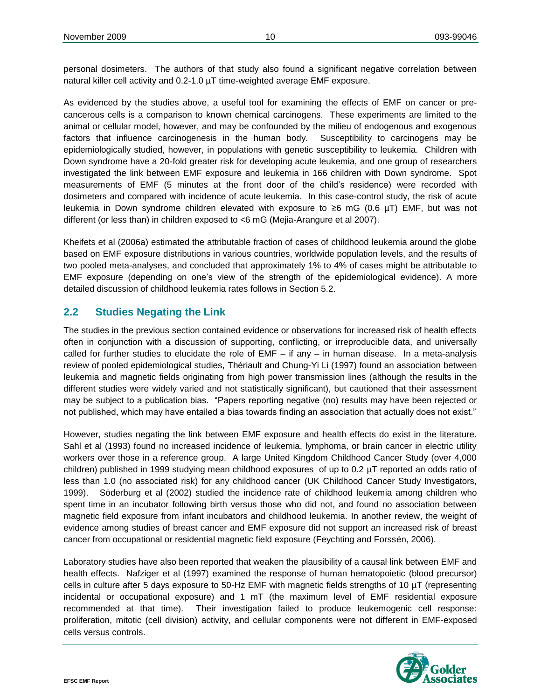personal dosimeters. The authors of that study also found a significant negative correlation between natural killer cell activity and 0.2-1.0 µT time-weighted average EMF exposure.

As evidenced by the studies above, a useful tool for examining the effects of EMF on cancer or precancerous cells is a comparison to known chemical carcinogens. These experiments are limited to the animal or cellular model, however, and may be confounded by the milieu of endogenous and exogenous factors that influence carcinogenesis in the human body. Susceptibility to carcinogens may be epidemiologically studied, however, in populations with genetic susceptibility to leukemia. Children with Down syndrome have a 20-fold greater risk for developing acute leukemia, and one group of researchers investigated the link between EMF exposure and leukemia in 166 children with Down syndrome. Spot measurements of EMF (5 minutes at the front door of the child's residence) were recorded with dosimeters and compared with incidence of acute leukemia. In this case-control study, the risk of acute leukemia in Down syndrome children elevated with exposure to ≥6 mG (0.6 µT) EMF, but was not different (or less than) in children exposed to <6 mG (Mejia-Arangure et al 2007).

Kheifets et al (2006a) estimated the attributable fraction of cases of childhood leukemia around the globe based on EMF exposure distributions in various countries, worldwide population levels, and the results of two pooled meta-analyses, and concluded that approximately 1% to 4% of cases might be attributable to EMF exposure (depending on one's view of the strength of the epidemiological evidence). A more detailed discussion of childhood leukemia rates follows in Section 5.2.

# <span id="page-11-0"></span>**2.2 Studies Negating the Link**

The studies in the previous section contained evidence or observations for increased risk of health effects often in conjunction with a discussion of supporting, conflicting, or irreproducible data, and universally called for further studies to elucidate the role of EMF – if any – in human disease. In a meta-analysis review of pooled epidemiological studies, Thériault and Chung-Yi Li (1997) found an association between leukemia and magnetic fields originating from high power transmission lines (although the results in the different studies were widely varied and not statistically significant), but cautioned that their assessment may be subject to a publication bias. "Papers reporting negative (no) results may have been rejected or not published, which may have entailed a bias towards finding an association that actually does not exist."

However, studies negating the link between EMF exposure and health effects do exist in the literature. Sahl et al (1993) found no increased incidence of leukemia, lymphoma, or brain cancer in electric utility workers over those in a reference group. A large United Kingdom Childhood Cancer Study (over 4,000 children) published in 1999 studying mean childhood exposures of up to 0.2 µT reported an odds ratio of less than 1.0 (no associated risk) for any childhood cancer (UK Childhood Cancer Study Investigators, 1999). Söderburg et al (2002) studied the incidence rate of childhood leukemia among children who spent time in an incubator following birth versus those who did not, and found no association between magnetic field exposure from infant incubators and childhood leukemia. In another review, the weight of evidence among studies of breast cancer and EMF exposure did not support an increased risk of breast cancer from occupational or residential magnetic field exposure (Feychting and Forssén, 2006).

Laboratory studies have also been reported that weaken the plausibility of a causal link between EMF and health effects. Nafziger et al (1997) examined the response of human hematopoietic (blood precursor) cells in culture after 5 days exposure to 50-Hz EMF with magnetic fields strengths of 10 µT (representing incidental or occupational exposure) and 1 mT (the maximum level of EMF residential exposure recommended at that time). Their investigation failed to produce leukemogenic cell response: proliferation, mitotic (cell division) activity, and cellular components were not different in EMF-exposed cells versus controls.

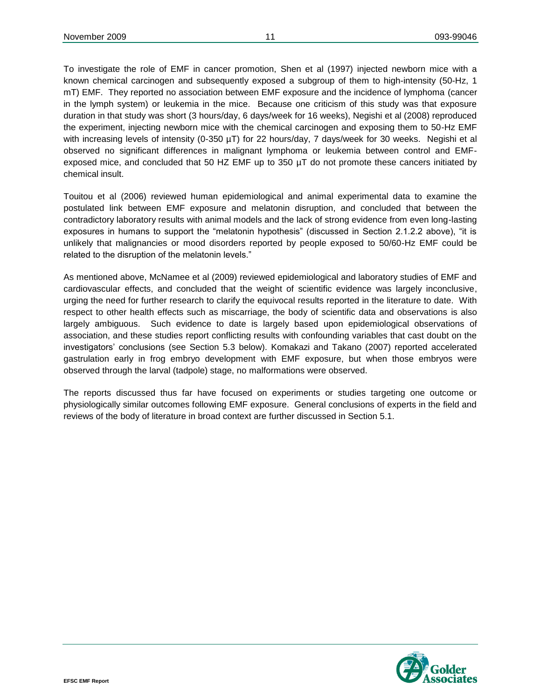To investigate the role of EMF in cancer promotion, Shen et al (1997) injected newborn mice with a known chemical carcinogen and subsequently exposed a subgroup of them to high-intensity (50-Hz, 1 mT) EMF. They reported no association between EMF exposure and the incidence of lymphoma (cancer in the lymph system) or leukemia in the mice. Because one criticism of this study was that exposure duration in that study was short (3 hours/day, 6 days/week for 16 weeks), Negishi et al (2008) reproduced the experiment, injecting newborn mice with the chemical carcinogen and exposing them to 50-Hz EMF with increasing levels of intensity (0-350 µT) for 22 hours/day, 7 days/week for 30 weeks. Negishi et al observed no significant differences in malignant lymphoma or leukemia between control and EMFexposed mice, and concluded that 50 HZ EMF up to 350 µT do not promote these cancers initiated by chemical insult.

Touitou et al (2006) reviewed human epidemiological and animal experimental data to examine the postulated link between EMF exposure and melatonin disruption, and concluded that between the contradictory laboratory results with animal models and the lack of strong evidence from even long-lasting exposures in humans to support the "melatonin hypothesis" (discussed in Section 2.1.2.2 above), "it is unlikely that malignancies or mood disorders reported by people exposed to 50/60-Hz EMF could be related to the disruption of the melatonin levels."

As mentioned above, McNamee et al (2009) reviewed epidemiological and laboratory studies of EMF and cardiovascular effects, and concluded that the weight of scientific evidence was largely inconclusive, urging the need for further research to clarify the equivocal results reported in the literature to date. With respect to other health effects such as miscarriage, the body of scientific data and observations is also largely ambiguous. Such evidence to date is largely based upon epidemiological observations of association, and these studies report conflicting results with confounding variables that cast doubt on the investigators' conclusions (see Section 5.3 below). Komakazi and Takano (2007) reported accelerated gastrulation early in frog embryo development with EMF exposure, but when those embryos were observed through the larval (tadpole) stage, no malformations were observed.

The reports discussed thus far have focused on experiments or studies targeting one outcome or physiologically similar outcomes following EMF exposure. General conclusions of experts in the field and reviews of the body of literature in broad context are further discussed in Section 5.1.

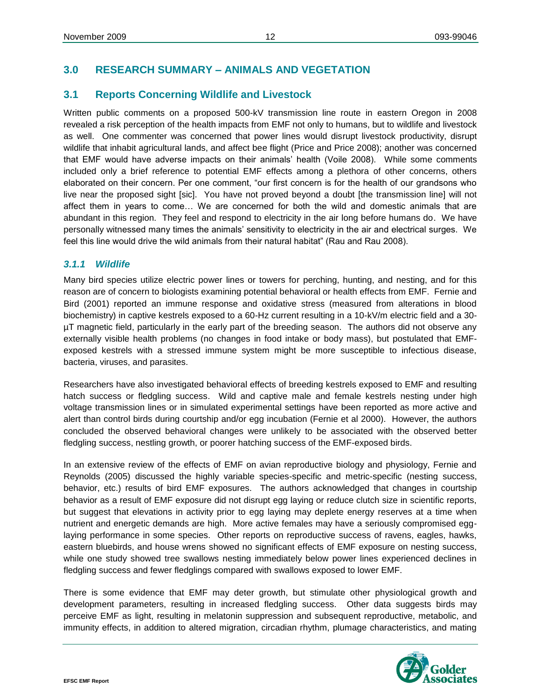# <span id="page-13-0"></span>**3.0 RESEARCH SUMMARY – ANIMALS AND VEGETATION**

# <span id="page-13-1"></span>**3.1 Reports Concerning Wildlife and Livestock**

Written public comments on a proposed 500-kV transmission line route in eastern Oregon in 2008 revealed a risk perception of the health impacts from EMF not only to humans, but to wildlife and livestock as well. One commenter was concerned that power lines would disrupt livestock productivity, disrupt wildlife that inhabit agricultural lands, and affect bee flight (Price and Price 2008); another was concerned that EMF would have adverse impacts on their animals' health (Voile 2008). While some comments included only a brief reference to potential EMF effects among a plethora of other concerns, others elaborated on their concern. Per one comment, "our first concern is for the health of our grandsons who live near the proposed sight [sic]. You have not proved beyond a doubt [the transmission line] will not affect them in years to come… We are concerned for both the wild and domestic animals that are abundant in this region. They feel and respond to electricity in the air long before humans do. We have personally witnessed many times the animals' sensitivity to electricity in the air and electrical surges. We feel this line would drive the wild animals from their natural habitat" (Rau and Rau 2008).

#### <span id="page-13-2"></span>*3.1.1 Wildlife*

Many bird species utilize electric power lines or towers for perching, hunting, and nesting, and for this reason are of concern to biologists examining potential behavioral or health effects from EMF. Fernie and Bird (2001) reported an immune response and oxidative stress (measured from alterations in blood biochemistry) in captive kestrels exposed to a 60-Hz current resulting in a 10-kV/m electric field and a 30 µT magnetic field, particularly in the early part of the breeding season. The authors did not observe any externally visible health problems (no changes in food intake or body mass), but postulated that EMFexposed kestrels with a stressed immune system might be more susceptible to infectious disease, bacteria, viruses, and parasites.

Researchers have also investigated behavioral effects of breeding kestrels exposed to EMF and resulting hatch success or fledgling success. Wild and captive male and female kestrels nesting under high voltage transmission lines or in simulated experimental settings have been reported as more active and alert than control birds during courtship and/or egg incubation (Fernie et al 2000). However, the authors concluded the observed behavioral changes were unlikely to be associated with the observed better fledgling success, nestling growth, or poorer hatching success of the EMF-exposed birds.

In an extensive review of the effects of EMF on avian reproductive biology and physiology, Fernie and Reynolds (2005) discussed the highly variable species-specific and metric-specific (nesting success, behavior, etc.) results of bird EMF exposures. The authors acknowledged that changes in courtship behavior as a result of EMF exposure did not disrupt egg laying or reduce clutch size in scientific reports, but suggest that elevations in activity prior to egg laying may deplete energy reserves at a time when nutrient and energetic demands are high. More active females may have a seriously compromised egglaying performance in some species. Other reports on reproductive success of ravens, eagles, hawks, eastern bluebirds, and house wrens showed no significant effects of EMF exposure on nesting success, while one study showed tree swallows nesting immediately below power lines experienced declines in fledgling success and fewer fledglings compared with swallows exposed to lower EMF.

There is some evidence that EMF may deter growth, but stimulate other physiological growth and development parameters, resulting in increased fledgling success. Other data suggests birds may perceive EMF as light, resulting in melatonin suppression and subsequent reproductive, metabolic, and immunity effects, in addition to altered migration, circadian rhythm, plumage characteristics, and mating

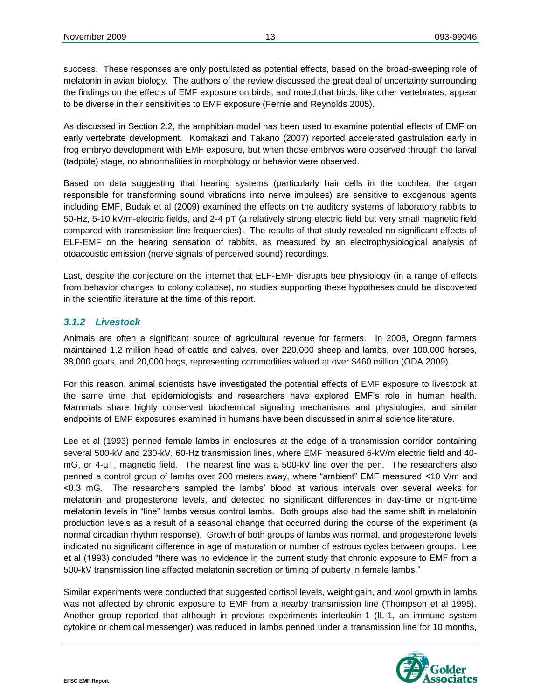success. These responses are only postulated as potential effects, based on the broad-sweeping role of melatonin in avian biology. The authors of the review discussed the great deal of uncertainty surrounding the findings on the effects of EMF exposure on birds, and noted that birds, like other vertebrates, appear to be diverse in their sensitivities to EMF exposure (Fernie and Reynolds 2005).

As discussed in Section 2.2, the amphibian model has been used to examine potential effects of EMF on early vertebrate development. Komakazi and Takano (2007) reported accelerated gastrulation early in frog embryo development with EMF exposure, but when those embryos were observed through the larval (tadpole) stage, no abnormalities in morphology or behavior were observed.

Based on data suggesting that hearing systems (particularly hair cells in the cochlea, the organ responsible for transforming sound vibrations into nerve impulses) are sensitive to exogenous agents including EMF, Budak et al (2009) examined the effects on the auditory systems of laboratory rabbits to 50-Hz, 5-10 kV/m-electric fields, and 2-4 pT (a relatively strong electric field but very small magnetic field compared with transmission line frequencies). The results of that study revealed no significant effects of ELF-EMF on the hearing sensation of rabbits, as measured by an electrophysiological analysis of otoacoustic emission (nerve signals of perceived sound) recordings.

Last, despite the conjecture on the internet that ELF-EMF disrupts bee physiology (in a range of effects from behavior changes to colony collapse), no studies supporting these hypotheses could be discovered in the scientific literature at the time of this report.

#### <span id="page-14-0"></span>*3.1.2 Livestock*

Animals are often a significant source of agricultural revenue for farmers. In 2008, Oregon farmers maintained 1.2 million head of cattle and calves, over 220,000 sheep and lambs, over 100,000 horses, 38,000 goats, and 20,000 hogs, representing commodities valued at over \$460 million (ODA 2009).

For this reason, animal scientists have investigated the potential effects of EMF exposure to livestock at the same time that epidemiologists and researchers have explored EMF's role in human health. Mammals share highly conserved biochemical signaling mechanisms and physiologies, and similar endpoints of EMF exposures examined in humans have been discussed in animal science literature.

Lee et al (1993) penned female lambs in enclosures at the edge of a transmission corridor containing several 500-kV and 230-kV, 60-Hz transmission lines, where EMF measured 6-kV/m electric field and 40 mG, or 4-µT, magnetic field. The nearest line was a 500-kV line over the pen. The researchers also penned a control group of lambs over 200 meters away, where "ambient" EMF measured <10 V/m and <0.3 mG. The researchers sampled the lambs' blood at various intervals over several weeks for melatonin and progesterone levels, and detected no significant differences in day-time or night-time melatonin levels in "line" lambs versus control lambs. Both groups also had the same shift in melatonin production levels as a result of a seasonal change that occurred during the course of the experiment (a normal circadian rhythm response). Growth of both groups of lambs was normal, and progesterone levels indicated no significant difference in age of maturation or number of estrous cycles between groups. Lee et al (1993) concluded "there was no evidence in the current study that chronic exposure to EMF from a 500-kV transmission line affected melatonin secretion or timing of puberty in female lambs."

Similar experiments were conducted that suggested cortisol levels, weight gain, and wool growth in lambs was not affected by chronic exposure to EMF from a nearby transmission line (Thompson et al 1995). Another group reported that although in previous experiments interleukin-1 (IL-1, an immune system cytokine or chemical messenger) was reduced in lambs penned under a transmission line for 10 months,

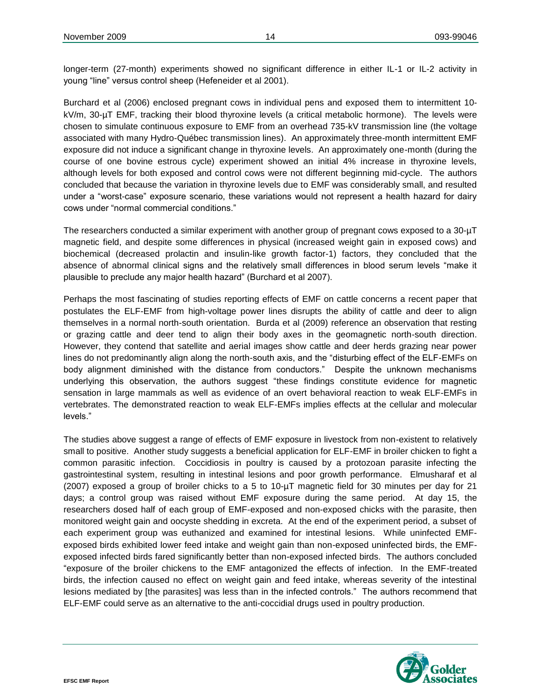longer-term (27-month) experiments showed no significant difference in either IL-1 or IL-2 activity in young "line" versus control sheep (Hefeneider et al 2001).

Burchard et al (2006) enclosed pregnant cows in individual pens and exposed them to intermittent 10 kV/m, 30-µT EMF, tracking their blood thyroxine levels (a critical metabolic hormone). The levels were chosen to simulate continuous exposure to EMF from an overhead 735-kV transmission line (the voltage associated with many Hydro-Québec transmission lines). An approximately three-month intermittent EMF exposure did not induce a significant change in thyroxine levels. An approximately one-month (during the course of one bovine estrous cycle) experiment showed an initial 4% increase in thyroxine levels, although levels for both exposed and control cows were not different beginning mid-cycle. The authors concluded that because the variation in thyroxine levels due to EMF was considerably small, and resulted under a "worst-case" exposure scenario, these variations would not represent a health hazard for dairy cows under "normal commercial conditions."

The researchers conducted a similar experiment with another group of pregnant cows exposed to a 30-µT magnetic field, and despite some differences in physical (increased weight gain in exposed cows) and biochemical (decreased prolactin and insulin-like growth factor-1) factors, they concluded that the absence of abnormal clinical signs and the relatively small differences in blood serum levels "make it plausible to preclude any major health hazard" (Burchard et al 2007).

Perhaps the most fascinating of studies reporting effects of EMF on cattle concerns a recent paper that postulates the ELF-EMF from high-voltage power lines disrupts the ability of cattle and deer to align themselves in a normal north-south orientation. Burda et al (2009) reference an observation that resting or grazing cattle and deer tend to align their body axes in the geomagnetic north-south direction. However, they contend that satellite and aerial images show cattle and deer herds grazing near power lines do not predominantly align along the north-south axis, and the "disturbing effect of the ELF-EMFs on body alignment diminished with the distance from conductors." Despite the unknown mechanisms underlying this observation, the authors suggest "these findings constitute evidence for magnetic sensation in large mammals as well as evidence of an overt behavioral reaction to weak ELF-EMFs in vertebrates. The demonstrated reaction to weak ELF-EMFs implies effects at the cellular and molecular levels."

The studies above suggest a range of effects of EMF exposure in livestock from non-existent to relatively small to positive. Another study suggests a beneficial application for ELF-EMF in broiler chicken to fight a common parasitic infection. Coccidiosis in poultry is caused by a protozoan parasite infecting the gastrointestinal system, resulting in intestinal lesions and poor growth performance. Elmusharaf et al (2007) exposed a group of broiler chicks to a 5 to 10-µT magnetic field for 30 minutes per day for 21 days; a control group was raised without EMF exposure during the same period. At day 15, the researchers dosed half of each group of EMF-exposed and non-exposed chicks with the parasite, then monitored weight gain and oocyste shedding in excreta. At the end of the experiment period, a subset of each experiment group was euthanized and examined for intestinal lesions. While uninfected EMFexposed birds exhibited lower feed intake and weight gain than non-exposed uninfected birds, the EMFexposed infected birds fared significantly better than non-exposed infected birds. The authors concluded "exposure of the broiler chickens to the EMF antagonized the effects of infection. In the EMF-treated birds, the infection caused no effect on weight gain and feed intake, whereas severity of the intestinal lesions mediated by [the parasites] was less than in the infected controls." The authors recommend that ELF-EMF could serve as an alternative to the anti-coccidial drugs used in poultry production.

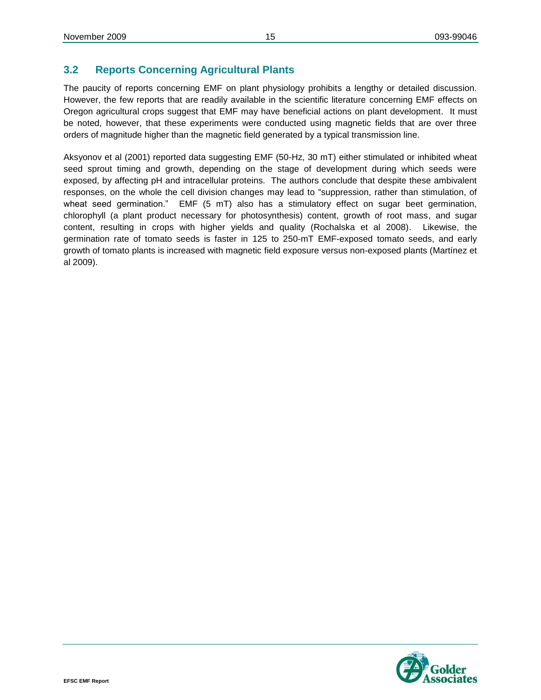# <span id="page-16-0"></span>**3.2 Reports Concerning Agricultural Plants**

The paucity of reports concerning EMF on plant physiology prohibits a lengthy or detailed discussion. However, the few reports that are readily available in the scientific literature concerning EMF effects on Oregon agricultural crops suggest that EMF may have beneficial actions on plant development. It must be noted, however, that these experiments were conducted using magnetic fields that are over three orders of magnitude higher than the magnetic field generated by a typical transmission line.

Aksyonov et al (2001) reported data suggesting EMF (50-Hz, 30 mT) either stimulated or inhibited wheat seed sprout timing and growth, depending on the stage of development during which seeds were exposed, by affecting pH and intracellular proteins. The authors conclude that despite these ambivalent responses, on the whole the cell division changes may lead to "suppression, rather than stimulation, of wheat seed germination." EMF (5 mT) also has a stimulatory effect on sugar beet germination, chlorophyll (a plant product necessary for photosynthesis) content, growth of root mass, and sugar content, resulting in crops with higher yields and quality (Rochalska et al 2008). Likewise, the germination rate of tomato seeds is faster in 125 to 250-mT EMF-exposed tomato seeds, and early growth of tomato plants is increased with magnetic field exposure versus non-exposed plants (Martínez et al 2009).

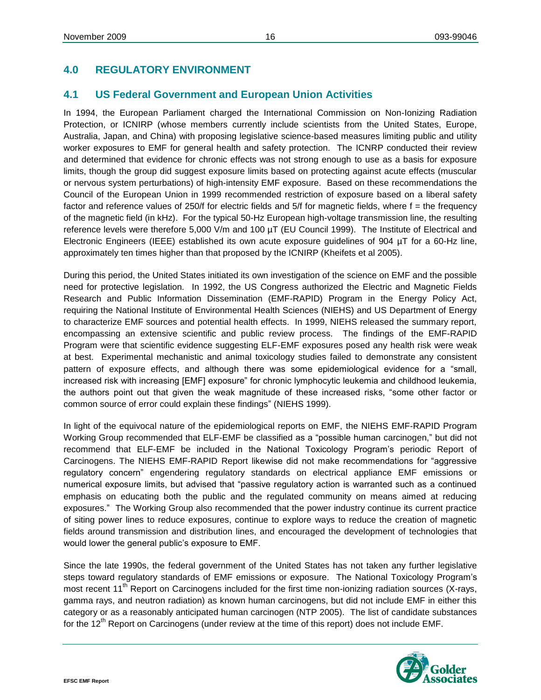# <span id="page-17-0"></span>**4.0 REGULATORY ENVIRONMENT**

# <span id="page-17-1"></span>**4.1 US Federal Government and European Union Activities**

In 1994, the European Parliament charged the International Commission on Non-Ionizing Radiation Protection, or ICNIRP (whose members currently include scientists from the United States, Europe, Australia, Japan, and China) with proposing legislative science-based measures limiting public and utility worker exposures to EMF for general health and safety protection. The ICNRP conducted their review and determined that evidence for chronic effects was not strong enough to use as a basis for exposure limits, though the group did suggest exposure limits based on protecting against acute effects (muscular or nervous system perturbations) of high-intensity EMF exposure. Based on these recommendations the Council of the European Union in 1999 recommended restriction of exposure based on a liberal safety factor and reference values of 250/f for electric fields and 5/f for magnetic fields, where f = the frequency of the magnetic field (in kHz). For the typical 50-Hz European high-voltage transmission line, the resulting reference levels were therefore 5,000 V/m and 100 µT (EU Council 1999). The Institute of Electrical and Electronic Engineers (IEEE) established its own acute exposure guidelines of 904 µT for a 60-Hz line, approximately ten times higher than that proposed by the ICNIRP (Kheifets et al 2005).

During this period, the United States initiated its own investigation of the science on EMF and the possible need for protective legislation. In 1992, the US Congress authorized the Electric and Magnetic Fields Research and Public Information Dissemination (EMF-RAPID) Program in the Energy Policy Act, requiring the National Institute of Environmental Health Sciences (NIEHS) and US Department of Energy to characterize EMF sources and potential health effects. In 1999, NIEHS released the summary report, encompassing an extensive scientific and public review process. The findings of the EMF-RAPID Program were that scientific evidence suggesting ELF-EMF exposures posed any health risk were weak at best. Experimental mechanistic and animal toxicology studies failed to demonstrate any consistent pattern of exposure effects, and although there was some epidemiological evidence for a "small, increased risk with increasing [EMF] exposure" for chronic lymphocytic leukemia and childhood leukemia, the authors point out that given the weak magnitude of these increased risks, "some other factor or common source of error could explain these findings" (NIEHS 1999).

In light of the equivocal nature of the epidemiological reports on EMF, the NIEHS EMF-RAPID Program Working Group recommended that ELF-EMF be classified as a "possible human carcinogen," but did not recommend that ELF-EMF be included in the National Toxicology Program's periodic Report of Carcinogens. The NIEHS EMF-RAPID Report likewise did not make recommendations for "aggressive regulatory concern" engendering regulatory standards on electrical appliance EMF emissions or numerical exposure limits, but advised that "passive regulatory action is warranted such as a continued emphasis on educating both the public and the regulated community on means aimed at reducing exposures." The Working Group also recommended that the power industry continue its current practice of siting power lines to reduce exposures, continue to explore ways to reduce the creation of magnetic fields around transmission and distribution lines, and encouraged the development of technologies that would lower the general public's exposure to EMF.

Since the late 1990s, the federal government of the United States has not taken any further legislative steps toward regulatory standards of EMF emissions or exposure. The National Toxicology Program's most recent  $11<sup>th</sup>$  Report on Carcinogens included for the first time non-ionizing radiation sources (X-rays, gamma rays, and neutron radiation) as known human carcinogens, but did not include EMF in either this category or as a reasonably anticipated human carcinogen (NTP 2005). The list of candidate substances for the 12<sup>th</sup> Report on Carcinogens (under review at the time of this report) does not include EMF.

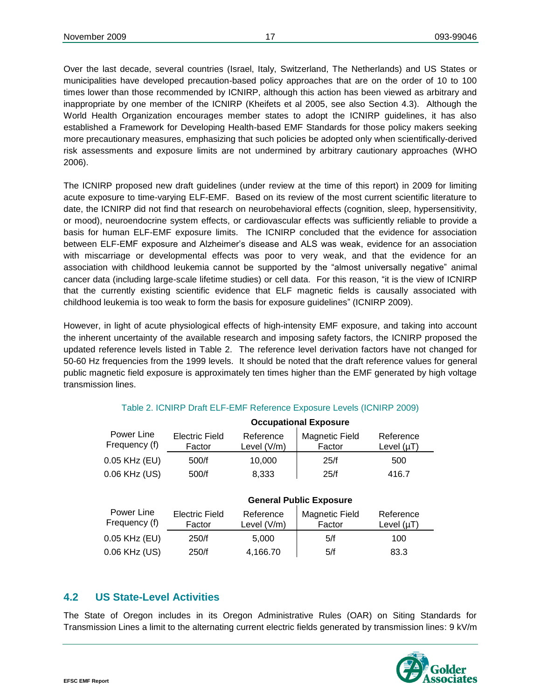Over the last decade, several countries (Israel, Italy, Switzerland, The Netherlands) and US States or municipalities have developed precaution-based policy approaches that are on the order of 10 to 100 times lower than those recommended by ICNIRP, although this action has been viewed as arbitrary and inappropriate by one member of the ICNIRP (Kheifets et al 2005, see also Section 4.3). Although the World Health Organization encourages member states to adopt the ICNIRP guidelines, it has also established a Framework for Developing Health-based EMF Standards for those policy makers seeking more precautionary measures, emphasizing that such policies be adopted only when scientifically-derived risk assessments and exposure limits are not undermined by arbitrary cautionary approaches (WHO 2006).

The ICNIRP proposed new draft guidelines (under review at the time of this report) in 2009 for limiting acute exposure to time-varying ELF-EMF. Based on its review of the most current scientific literature to date, the ICNIRP did not find that research on neurobehavioral effects (cognition, sleep, hypersensitivity, or mood), neuroendocrine system effects, or cardiovascular effects was sufficiently reliable to provide a basis for human ELF-EMF exposure limits. The ICNIRP concluded that the evidence for association between ELF-EMF exposure and Alzheimer's disease and ALS was weak, evidence for an association with miscarriage or developmental effects was poor to very weak, and that the evidence for an association with childhood leukemia cannot be supported by the "almost universally negative" animal cancer data (including large-scale lifetime studies) or cell data. For this reason, "it is the view of ICNIRP that the currently existing scientific evidence that ELF magnetic fields is causally associated with childhood leukemia is too weak to form the basis for exposure guidelines" (ICNIRP 2009).

However, in light of acute physiological effects of high-intensity EMF exposure, and taking into account the inherent uncertainty of the available research and imposing safety factors, the ICNIRP proposed the updated reference levels listed in Table 2. The reference level derivation factors have not changed for 50-60 Hz frequencies from the 1999 levels. It should be noted that the draft reference values for general public magnetic field exposure is approximately ten times higher than the EMF generated by high voltage transmission lines.

|                             | <b>Occupational Exposure</b>    |                          |                                 |                              |  |
|-----------------------------|---------------------------------|--------------------------|---------------------------------|------------------------------|--|
| Power Line<br>Frequency (f) | <b>Electric Field</b><br>Factor | Reference<br>Level (V/m) | <b>Magnetic Field</b><br>Factor | Reference<br>Level $(\mu T)$ |  |
| 0.05 KHz (EU)               | 500/f                           | 10.000                   | 25/f                            | 500                          |  |
| 0.06 KHz (US)               | 500/f                           | 8,333                    | 25/f                            | 416.7                        |  |

#### Table 2. ICNIRP Draft ELF-EMF Reference Exposure Levels (ICNIRP 2009)

|                             | <b>General Public Exposure</b>  |                            |                                 |                              |
|-----------------------------|---------------------------------|----------------------------|---------------------------------|------------------------------|
| Power Line<br>Frequency (f) | <b>Electric Field</b><br>Factor | Reference<br>Level $(V/m)$ | <b>Magnetic Field</b><br>Factor | Reference<br>Level $(\mu T)$ |
| 0.05 KHz (EU)               | 250/f                           | 5.000                      | 5/f                             | 100                          |
| 0.06 KHz (US)               | 250/f                           | 4,166.70                   | 5/f                             | 83.3                         |

# <span id="page-18-0"></span>**4.2 US State-Level Activities**

The State of Oregon includes in its Oregon Administrative Rules (OAR) on Siting Standards for Transmission Lines a limit to the alternating current electric fields generated by transmission lines: 9 kV/m

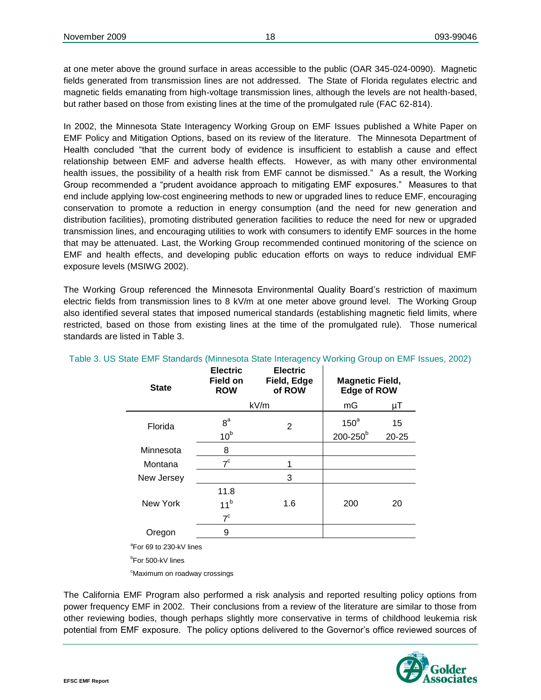at one meter above the ground surface in areas accessible to the public (OAR 345-024-0090). Magnetic fields generated from transmission lines are not addressed. The State of Florida regulates electric and magnetic fields emanating from high-voltage transmission lines, although the levels are not health-based, but rather based on those from existing lines at the time of the promulgated rule (FAC 62-814).

In 2002, the Minnesota State Interagency Working Group on EMF Issues published a White Paper on EMF Policy and Mitigation Options, based on its review of the literature. The Minnesota Department of Health concluded "that the current body of evidence is insufficient to establish a cause and effect relationship between EMF and adverse health effects. However, as with many other environmental health issues, the possibility of a health risk from EMF cannot be dismissed." As a result, the Working Group recommended a "prudent avoidance approach to mitigating EMF exposures." Measures to that end include applying low-cost engineering methods to new or upgraded lines to reduce EMF, encouraging conservation to promote a reduction in energy consumption (and the need for new generation and distribution facilities), promoting distributed generation facilities to reduce the need for new or upgraded transmission lines, and encouraging utilities to work with consumers to identify EMF sources in the home that may be attenuated. Last, the Working Group recommended continued monitoring of the science on EMF and health effects, and developing public education efforts on ways to reduce individual EMF exposure levels (MSIWG 2002).

The Working Group referenced the Minnesota Environmental Quality Board's restriction of maximum electric fields from transmission lines to 8 kV/m at one meter above ground level. The Working Group also identified several states that imposed numerical standards (establishing magnetic field limits, where restricted, based on those from existing lines at the time of the promulgated rule). Those numerical standards are listed in Table 3.

| <b>State</b>                        | <b>Electric</b><br><b>Field on</b><br><b>ROW</b> | <b>Electric</b><br>Field, Edge<br>of ROW | <b>Magnetic Field,</b><br><b>Edge of ROW</b> |           |
|-------------------------------------|--------------------------------------------------|------------------------------------------|----------------------------------------------|-----------|
|                                     |                                                  | kV/m                                     | mG                                           | μT        |
| Florida                             | 8 <sup>a</sup>                                   | 2                                        | 150 <sup>a</sup>                             | 15        |
|                                     | 10 <sup>b</sup>                                  |                                          | 200-250 <sup>b</sup>                         | $20 - 25$ |
| Minnesota                           | 8                                                |                                          |                                              |           |
| Montana                             | $7^{\circ}$                                      |                                          |                                              |           |
| New Jersey                          |                                                  | 3                                        |                                              |           |
|                                     | 11.8                                             |                                          |                                              |           |
| New York                            | 11 <sup>b</sup>                                  | 1.6                                      | 200                                          | 20        |
|                                     | $7^{\circ}$                                      |                                          |                                              |           |
| Oregon                              | 9                                                |                                          |                                              |           |
| <sup>a</sup> For 69 to 230-kV lines |                                                  |                                          |                                              |           |

Table 3. US State EMF Standards (Minnesota State Interagency Working Group on EMF Issues, 2002)

b For 500-kV lines

<sup>c</sup>Maximum on roadway crossings

The California EMF Program also performed a risk analysis and reported resulting policy options from power frequency EMF in 2002. Their conclusions from a review of the literature are similar to those from other reviewing bodies, though perhaps slightly more conservative in terms of childhood leukemia risk potential from EMF exposure. The policy options delivered to the Governor's office reviewed sources of

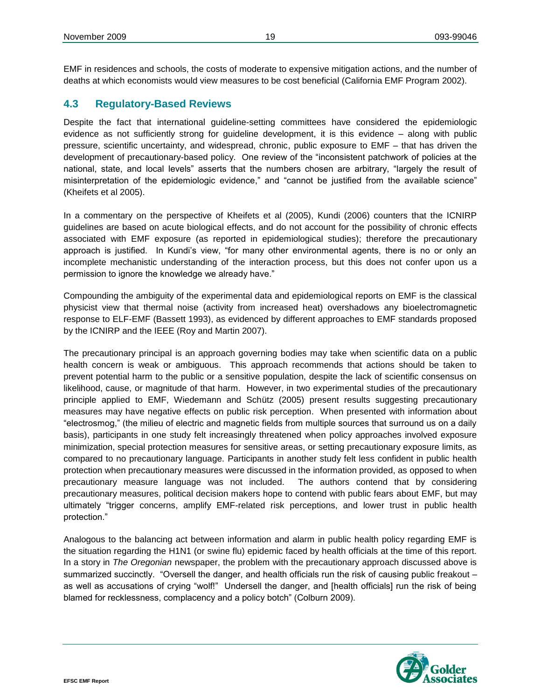EMF in residences and schools, the costs of moderate to expensive mitigation actions, and the number of deaths at which economists would view measures to be cost beneficial (California EMF Program 2002).

#### <span id="page-20-0"></span>**4.3 Regulatory-Based Reviews**

Despite the fact that international guideline-setting committees have considered the epidemiologic evidence as not sufficiently strong for guideline development, it is this evidence – along with public pressure, scientific uncertainty, and widespread, chronic, public exposure to EMF – that has driven the development of precautionary-based policy. One review of the "inconsistent patchwork of policies at the national, state, and local levels" asserts that the numbers chosen are arbitrary, "largely the result of misinterpretation of the epidemiologic evidence," and "cannot be justified from the available science" (Kheifets et al 2005).

In a commentary on the perspective of Kheifets et al (2005), Kundi (2006) counters that the ICNIRP guidelines are based on acute biological effects, and do not account for the possibility of chronic effects associated with EMF exposure (as reported in epidemiological studies); therefore the precautionary approach is justified. In Kundi's view, "for many other environmental agents, there is no or only an incomplete mechanistic understanding of the interaction process, but this does not confer upon us a permission to ignore the knowledge we already have."

Compounding the ambiguity of the experimental data and epidemiological reports on EMF is the classical physicist view that thermal noise (activity from increased heat) overshadows any bioelectromagnetic response to ELF-EMF (Bassett 1993), as evidenced by different approaches to EMF standards proposed by the ICNIRP and the IEEE (Roy and Martin 2007).

The precautionary principal is an approach governing bodies may take when scientific data on a public health concern is weak or ambiguous. This approach recommends that actions should be taken to prevent potential harm to the public or a sensitive population, despite the lack of scientific consensus on likelihood, cause, or magnitude of that harm. However, in two experimental studies of the precautionary principle applied to EMF, Wiedemann and Schütz (2005) present results suggesting precautionary measures may have negative effects on public risk perception. When presented with information about "electrosmog," (the milieu of electric and magnetic fields from multiple sources that surround us on a daily basis), participants in one study felt increasingly threatened when policy approaches involved exposure minimization, special protection measures for sensitive areas, or setting precautionary exposure limits, as compared to no precautionary language. Participants in another study felt less confident in public health protection when precautionary measures were discussed in the information provided, as opposed to when precautionary measure language was not included. The authors contend that by considering precautionary measures, political decision makers hope to contend with public fears about EMF, but may ultimately "trigger concerns, amplify EMF-related risk perceptions, and lower trust in public health protection."

Analogous to the balancing act between information and alarm in public health policy regarding EMF is the situation regarding the H1N1 (or swine flu) epidemic faced by health officials at the time of this report. In a story in *The Oregonian* newspaper, the problem with the precautionary approach discussed above is summarized succinctly. "Oversell the danger, and health officials run the risk of causing public freakout – as well as accusations of crying "wolf!" Undersell the danger, and [health officials] run the risk of being blamed for recklessness, complacency and a policy botch" (Colburn 2009).

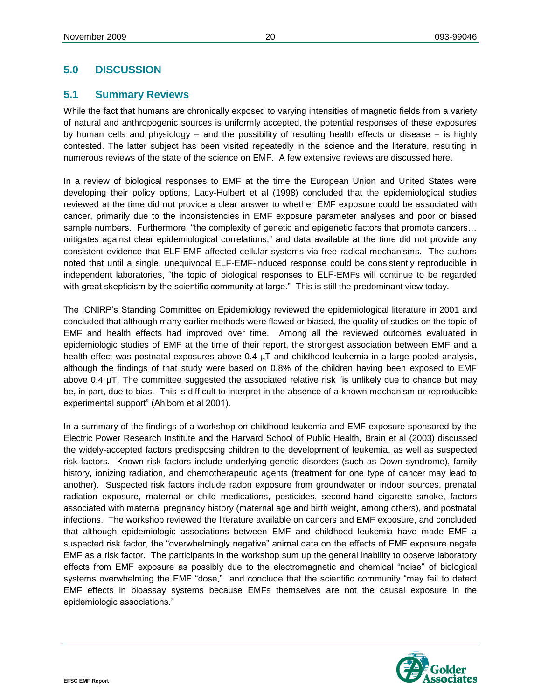# <span id="page-21-0"></span>**5.0 DISCUSSION**

# <span id="page-21-1"></span>**5.1 Summary Reviews**

While the fact that humans are chronically exposed to varying intensities of magnetic fields from a variety of natural and anthropogenic sources is uniformly accepted, the potential responses of these exposures by human cells and physiology – and the possibility of resulting health effects or disease – is highly contested. The latter subject has been visited repeatedly in the science and the literature, resulting in numerous reviews of the state of the science on EMF. A few extensive reviews are discussed here.

In a review of biological responses to EMF at the time the European Union and United States were developing their policy options, Lacy-Hulbert et al (1998) concluded that the epidemiological studies reviewed at the time did not provide a clear answer to whether EMF exposure could be associated with cancer, primarily due to the inconsistencies in EMF exposure parameter analyses and poor or biased sample numbers. Furthermore, "the complexity of genetic and epigenetic factors that promote cancers... mitigates against clear epidemiological correlations," and data available at the time did not provide any consistent evidence that ELF-EMF affected cellular systems via free radical mechanisms. The authors noted that until a single, unequivocal ELF-EMF-induced response could be consistently reproducible in independent laboratories, "the topic of biological responses to ELF-EMFs will continue to be regarded with great skepticism by the scientific community at large." This is still the predominant view today.

The ICNIRP's Standing Committee on Epidemiology reviewed the epidemiological literature in 2001 and concluded that although many earlier methods were flawed or biased, the quality of studies on the topic of EMF and health effects had improved over time. Among all the reviewed outcomes evaluated in epidemiologic studies of EMF at the time of their report, the strongest association between EMF and a health effect was postnatal exposures above 0.4  $\mu$ T and childhood leukemia in a large pooled analysis, although the findings of that study were based on 0.8% of the children having been exposed to EMF above 0.4 µT. The committee suggested the associated relative risk "is unlikely due to chance but may be, in part, due to bias. This is difficult to interpret in the absence of a known mechanism or reproducible experimental support" (Ahlbom et al 2001).

In a summary of the findings of a workshop on childhood leukemia and EMF exposure sponsored by the Electric Power Research Institute and the Harvard School of Public Health, Brain et al (2003) discussed the widely-accepted factors predisposing children to the development of leukemia, as well as suspected risk factors. Known risk factors include underlying genetic disorders (such as Down syndrome), family history, ionizing radiation, and chemotherapeutic agents (treatment for one type of cancer may lead to another). Suspected risk factors include radon exposure from groundwater or indoor sources, prenatal radiation exposure, maternal or child medications, pesticides, second-hand cigarette smoke, factors associated with maternal pregnancy history (maternal age and birth weight, among others), and postnatal infections. The workshop reviewed the literature available on cancers and EMF exposure, and concluded that although epidemiologic associations between EMF and childhood leukemia have made EMF a suspected risk factor, the "overwhelmingly negative" animal data on the effects of EMF exposure negate EMF as a risk factor. The participants in the workshop sum up the general inability to observe laboratory effects from EMF exposure as possibly due to the electromagnetic and chemical "noise" of biological systems overwhelming the EMF "dose," and conclude that the scientific community "may fail to detect EMF effects in bioassay systems because EMFs themselves are not the causal exposure in the epidemiologic associations."

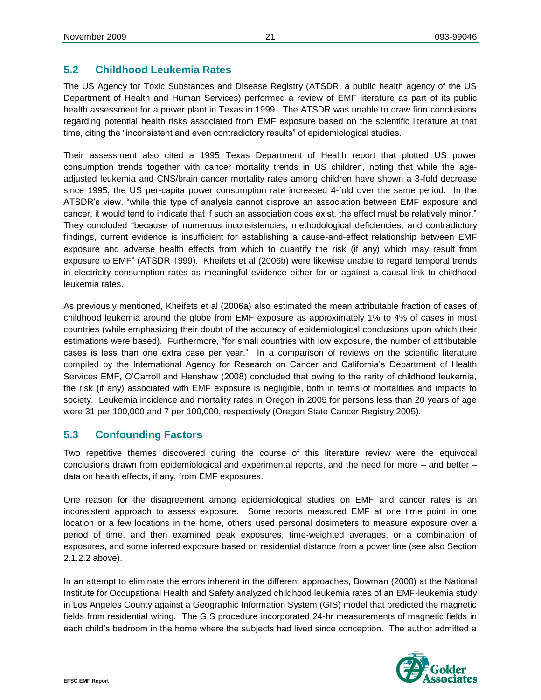# <span id="page-22-0"></span>**5.2 Childhood Leukemia Rates**

The US Agency for Toxic Substances and Disease Registry (ATSDR, a public health agency of the US Department of Health and Human Services) performed a review of EMF literature as part of its public health assessment for a power plant in Texas in 1999. The ATSDR was unable to draw firm conclusions regarding potential health risks associated from EMF exposure based on the scientific literature at that time, citing the "inconsistent and even contradictory results" of epidemiological studies.

Their assessment also cited a 1995 Texas Department of Health report that plotted US power consumption trends together with cancer mortality trends in US children, noting that while the ageadjusted leukemia and CNS/brain cancer mortality rates among children have shown a 3-fold decrease since 1995, the US per-capita power consumption rate increased 4-fold over the same period. In the ATSDR's view, "while this type of analysis cannot disprove an association between EMF exposure and cancer, it would tend to indicate that if such an association does exist, the effect must be relatively minor." They concluded "because of numerous inconsistencies, methodological deficiencies, and contradictory findings, current evidence is insufficient for establishing a cause-and-effect relationship between EMF exposure and adverse health effects from which to quantify the risk (if any) which may result from exposure to EMF" (ATSDR 1999). Kheifets et al (2006b) were likewise unable to regard temporal trends in electricity consumption rates as meaningful evidence either for or against a causal link to childhood leukemia rates.

As previously mentioned, Kheifets et al (2006a) also estimated the mean attributable fraction of cases of childhood leukemia around the globe from EMF exposure as approximately 1% to 4% of cases in most countries (while emphasizing their doubt of the accuracy of epidemiological conclusions upon which their estimations were based). Furthermore, "for small countries with low exposure, the number of attributable cases is less than one extra case per year." In a comparison of reviews on the scientific literature compiled by the International Agency for Research on Cancer and California's Department of Health Services EMF, O'Carroll and Henshaw (2008) concluded that owing to the rarity of childhood leukemia, the risk (if any) associated with EMF exposure is negligible, both in terms of mortalities and impacts to society. Leukemia incidence and mortality rates in Oregon in 2005 for persons less than 20 years of age were 31 per 100,000 and 7 per 100,000, respectively (Oregon State Cancer Registry 2005).

# <span id="page-22-1"></span>**5.3 Confounding Factors**

Two repetitive themes discovered during the course of this literature review were the equivocal conclusions drawn from epidemiological and experimental reports, and the need for more – and better – data on health effects, if any, from EMF exposures.

One reason for the disagreement among epidemiological studies on EMF and cancer rates is an inconsistent approach to assess exposure. Some reports measured EMF at one time point in one location or a few locations in the home, others used personal dosimeters to measure exposure over a period of time, and then examined peak exposures, time-weighted averages, or a combination of exposures, and some inferred exposure based on residential distance from a power line (see also Section 2.1.2.2 above).

In an attempt to eliminate the errors inherent in the different approaches, Bowman (2000) at the National Institute for Occupational Health and Safety analyzed childhood leukemia rates of an EMF-leukemia study in Los Angeles County against a Geographic Information System (GIS) model that predicted the magnetic fields from residential wiring. The GIS procedure incorporated 24-hr measurements of magnetic fields in each child's bedroom in the home where the subjects had lived since conception. The author admitted a

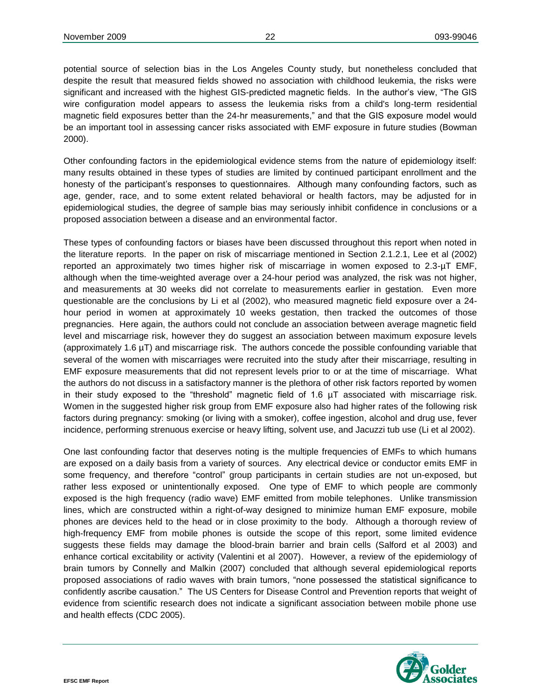potential source of selection bias in the Los Angeles County study, but nonetheless concluded that despite the result that measured fields showed no association with childhood leukemia, the risks were significant and increased with the highest GIS-predicted magnetic fields. In the author's view, "The GIS wire configuration model appears to assess the leukemia risks from a child's long-term residential magnetic field exposures better than the 24-hr measurements," and that the GIS exposure model would be an important tool in assessing cancer risks associated with EMF exposure in future studies (Bowman 2000).

Other confounding factors in the epidemiological evidence stems from the nature of epidemiology itself: many results obtained in these types of studies are limited by continued participant enrollment and the honesty of the participant's responses to questionnaires. Although many confounding factors, such as age, gender, race, and to some extent related behavioral or health factors, may be adjusted for in epidemiological studies, the degree of sample bias may seriously inhibit confidence in conclusions or a proposed association between a disease and an environmental factor.

These types of confounding factors or biases have been discussed throughout this report when noted in the literature reports. In the paper on risk of miscarriage mentioned in Section 2.1.2.1, Lee et al (2002) reported an approximately two times higher risk of miscarriage in women exposed to 2.3-µT EMF, although when the time-weighted average over a 24-hour period was analyzed, the risk was not higher, and measurements at 30 weeks did not correlate to measurements earlier in gestation. Even more questionable are the conclusions by Li et al (2002), who measured magnetic field exposure over a 24 hour period in women at approximately 10 weeks gestation, then tracked the outcomes of those pregnancies. Here again, the authors could not conclude an association between average magnetic field level and miscarriage risk, however they do suggest an association between maximum exposure levels (approximately 1.6 µT) and miscarriage risk. The authors concede the possible confounding variable that several of the women with miscarriages were recruited into the study after their miscarriage, resulting in EMF exposure measurements that did not represent levels prior to or at the time of miscarriage. What the authors do not discuss in a satisfactory manner is the plethora of other risk factors reported by women in their study exposed to the "threshold" magnetic field of 1.6  $\mu$ T associated with miscarriage risk. Women in the suggested higher risk group from EMF exposure also had higher rates of the following risk factors during pregnancy: smoking (or living with a smoker), coffee ingestion, alcohol and drug use, fever incidence, performing strenuous exercise or heavy lifting, solvent use, and Jacuzzi tub use (Li et al 2002).

One last confounding factor that deserves noting is the multiple frequencies of EMFs to which humans are exposed on a daily basis from a variety of sources. Any electrical device or conductor emits EMF in some frequency, and therefore "control" group participants in certain studies are not un-exposed, but rather less exposed or unintentionally exposed. One type of EMF to which people are commonly exposed is the high frequency (radio wave) EMF emitted from mobile telephones. Unlike transmission lines, which are constructed within a right-of-way designed to minimize human EMF exposure, mobile phones are devices held to the head or in close proximity to the body. Although a thorough review of high-frequency EMF from mobile phones is outside the scope of this report, some limited evidence suggests these fields may damage the blood-brain barrier and brain cells (Salford et al 2003) and enhance cortical excitability or activity (Valentini et al 2007). However, a review of the epidemiology of brain tumors by Connelly and Malkin (2007) concluded that although several epidemiological reports proposed associations of radio waves with brain tumors, "none possessed the statistical significance to confidently ascribe causation." The US Centers for Disease Control and Prevention reports that weight of evidence from scientific research does not indicate a significant association between mobile phone use and health effects (CDC 2005).

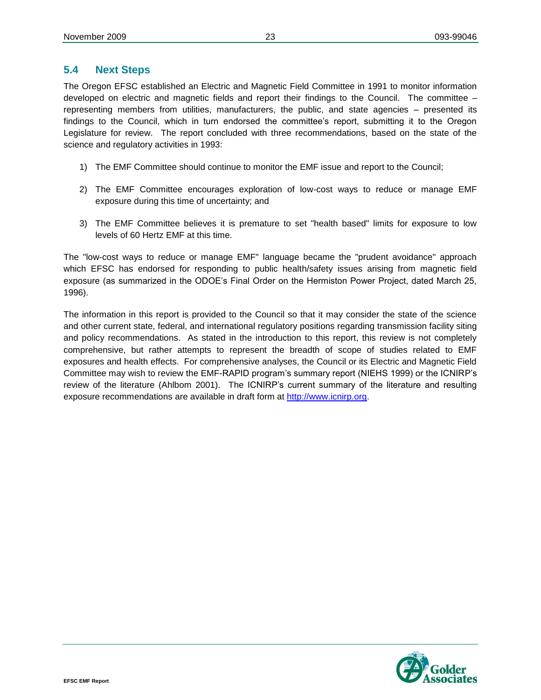#### <span id="page-24-0"></span>**5.4 Next Steps**

The Oregon EFSC established an Electric and Magnetic Field Committee in 1991 to monitor information developed on electric and magnetic fields and report their findings to the Council. The committee – representing members from utilities, manufacturers, the public, and state agencies – presented its findings to the Council, which in turn endorsed the committee's report, submitting it to the Oregon Legislature for review. The report concluded with three recommendations, based on the state of the science and regulatory activities in 1993:

- 1) The EMF Committee should continue to monitor the EMF issue and report to the Council;
- 2) The EMF Committee encourages exploration of low-cost ways to reduce or manage EMF exposure during this time of uncertainty; and
- 3) The EMF Committee believes it is premature to set "health based" limits for exposure to low levels of 60 Hertz EMF at this time.

The "low-cost ways to reduce or manage EMF" language became the "prudent avoidance" approach which EFSC has endorsed for responding to public health/safety issues arising from magnetic field exposure (as summarized in the ODOE's Final Order on the Hermiston Power Project, dated March 25, 1996).

The information in this report is provided to the Council so that it may consider the state of the science and other current state, federal, and international regulatory positions regarding transmission facility siting and policy recommendations. As stated in the introduction to this report, this review is not completely comprehensive, but rather attempts to represent the breadth of scope of studies related to EMF exposures and health effects. For comprehensive analyses, the Council or its Electric and Magnetic Field Committee may wish to review the EMF-RAPID program's summary report (NIEHS 1999) or the ICNIRP's review of the literature (Ahlbom 2001). The ICNIRP's current summary of the literature and resulting exposure recommendations are available in draft form at [http://www.icnirp.org.](http://www.icnirp.org/)

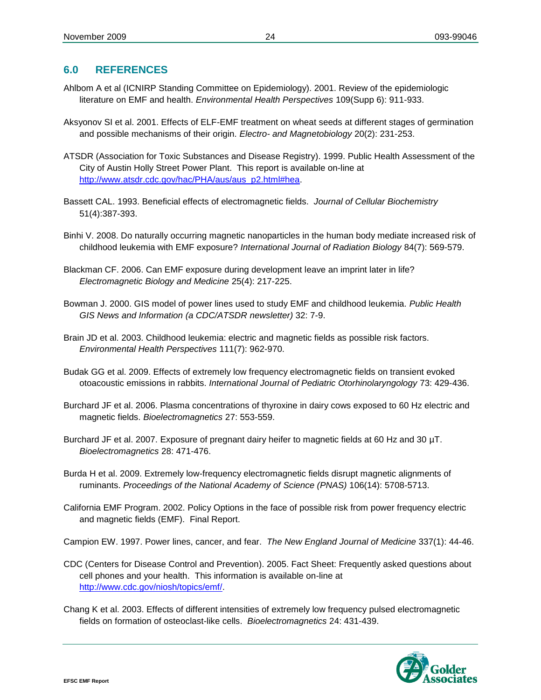# <span id="page-25-0"></span>**6.0 REFERENCES**

- Ahlbom A et al (ICNIRP Standing Committee on Epidemiology). 2001. Review of the epidemiologic literature on EMF and health. *Environmental Health Perspectives* 109(Supp 6): 911-933.
- Aksyonov SI et al. 2001. Effects of ELF-EMF treatment on wheat seeds at different stages of germination and possible mechanisms of their origin. *Electro- and Magnetobiology* 20(2): 231-253.
- ATSDR (Association for Toxic Substances and Disease Registry). 1999. Public Health Assessment of the City of Austin Holly Street Power Plant. This report is available on-line at [http://www.atsdr.cdc.gov/hac/PHA/aus/aus\\_p2.html#hea.](http://www.atsdr.cdc.gov/hac/PHA/aus/aus_p2.html#hea)
- Bassett CAL. 1993. Beneficial effects of electromagnetic fields. *Journal of Cellular Biochemistry* 51(4):387-393.
- Binhi V. 2008. Do naturally occurring magnetic nanoparticles in the human body mediate increased risk of childhood leukemia with EMF exposure? *International Journal of Radiation Biology* 84(7): 569-579.
- Blackman CF. 2006. Can EMF exposure during development leave an imprint later in life? *Electromagnetic Biology and Medicine* 25(4): 217-225.
- Bowman J. 2000. GIS model of power lines used to study EMF and childhood leukemia. *Public Health GIS News and Information (a CDC/ATSDR newsletter)* 32: 7-9.
- Brain JD et al. 2003. Childhood leukemia: electric and magnetic fields as possible risk factors. *Environmental Health Perspectives* 111(7): 962-970.
- Budak GG et al. 2009. Effects of extremely low frequency electromagnetic fields on transient evoked otoacoustic emissions in rabbits. *International Journal of Pediatric Otorhinolaryngology* 73: 429-436.
- Burchard JF et al. 2006. Plasma concentrations of thyroxine in dairy cows exposed to 60 Hz electric and magnetic fields. *Bioelectromagnetics* 27: 553-559.
- Burchard JF et al. 2007. Exposure of pregnant dairy heifer to magnetic fields at 60 Hz and 30 µT. *Bioelectromagnetics* 28: 471-476.
- Burda H et al. 2009. Extremely low-frequency electromagnetic fields disrupt magnetic alignments of ruminants. *Proceedings of the National Academy of Science (PNAS)* 106(14): 5708-5713.
- California EMF Program. 2002. Policy Options in the face of possible risk from power frequency electric and magnetic fields (EMF). Final Report.

Campion EW. 1997. Power lines, cancer, and fear. *The New England Journal of Medicine* 337(1): 44-46.

- CDC (Centers for Disease Control and Prevention). 2005. Fact Sheet: Frequently asked questions about cell phones and your health. This information is available on-line at [http://www.cdc.gov/niosh/topics/emf/.](http://www.cdc.gov/niosh/topics/emf/)
- Chang K et al. 2003. Effects of different intensities of extremely low frequency pulsed electromagnetic fields on formation of osteoclast-like cells. *Bioelectromagnetics* 24: 431-439.

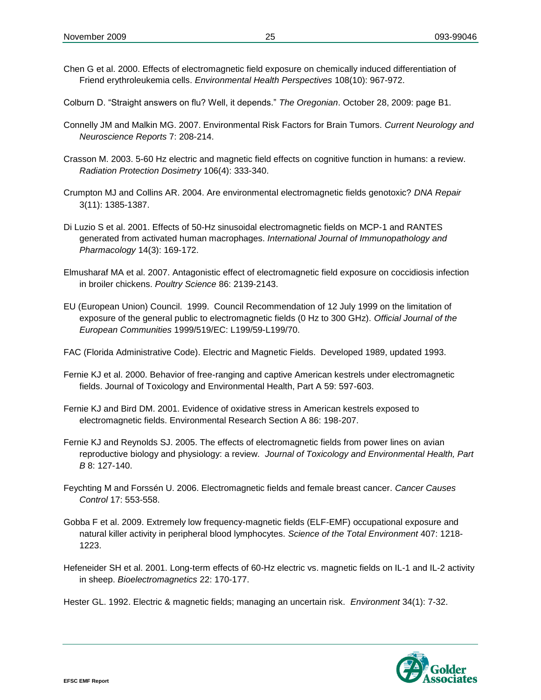- Chen G et al. 2000. Effects of electromagnetic field exposure on chemically induced differentiation of Friend erythroleukemia cells. *Environmental Health Perspectives* 108(10): 967-972.
- Colburn D. "Straight answers on flu? Well, it depends." *The Oregonian*. October 28, 2009: page B1.
- Connelly JM and Malkin MG. 2007. Environmental Risk Factors for Brain Tumors. *Current Neurology and Neuroscience Reports* 7: 208-214.
- Crasson M. 2003. 5-60 Hz electric and magnetic field effects on cognitive function in humans: a review. *Radiation Protection Dosimetry* 106(4): 333-340.
- Crumpton MJ and Collins AR. 2004. Are environmental electromagnetic fields genotoxic? *DNA Repair* 3(11): 1385-1387.
- Di Luzio S et al. 2001. Effects of 50-Hz sinusoidal electromagnetic fields on MCP-1 and RANTES generated from activated human macrophages. *International Journal of Immunopathology and Pharmacology* 14(3): 169-172.
- Elmusharaf MA et al. 2007. Antagonistic effect of electromagnetic field exposure on coccidiosis infection in broiler chickens. *Poultry Science* 86: 2139-2143.
- EU (European Union) Council. 1999. Council Recommendation of 12 July 1999 on the limitation of exposure of the general public to electromagnetic fields (0 Hz to 300 GHz). *Official Journal of the European Communities* 1999/519/EC: L199/59-L199/70.
- FAC (Florida Administrative Code). Electric and Magnetic Fields. Developed 1989, updated 1993.
- Fernie KJ et al. 2000. Behavior of free-ranging and captive American kestrels under electromagnetic fields. Journal of Toxicology and Environmental Health, Part A 59: 597-603.
- Fernie KJ and Bird DM. 2001. Evidence of oxidative stress in American kestrels exposed to electromagnetic fields. Environmental Research Section A 86: 198-207.
- Fernie KJ and Reynolds SJ. 2005. The effects of electromagnetic fields from power lines on avian reproductive biology and physiology: a review. *Journal of Toxicology and Environmental Health, Part B* 8: 127-140.
- Feychting M and Forssén U. 2006. Electromagnetic fields and female breast cancer. *Cancer Causes Control* 17: 553-558.
- Gobba F et al. 2009. Extremely low frequency-magnetic fields (ELF-EMF) occupational exposure and natural killer activity in peripheral blood lymphocytes. *Science of the Total Environment* 407: 1218- 1223.
- Hefeneider SH et al. 2001. Long-term effects of 60-Hz electric vs. magnetic fields on IL-1 and IL-2 activity in sheep. *Bioelectromagnetics* 22: 170-177.
- Hester GL. 1992. Electric & magnetic fields; managing an uncertain risk. *Environment* 34(1): 7-32.

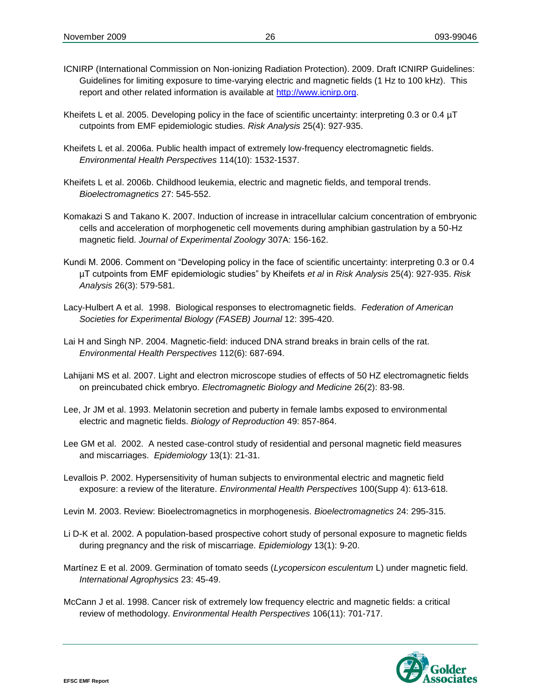- ICNIRP (International Commission on Non-ionizing Radiation Protection). 2009. Draft ICNIRP Guidelines: Guidelines for limiting exposure to time-varying electric and magnetic fields (1 Hz to 100 kHz). This report and other related information is available at [http://www.icnirp.org.](http://www.icnirp.org/)
- Kheifets L et al. 2005. Developing policy in the face of scientific uncertainty: interpreting 0.3 or 0.4  $\mu$ T cutpoints from EMF epidemiologic studies. *Risk Analysis* 25(4): 927-935.
- Kheifets L et al. 2006a. Public health impact of extremely low-frequency electromagnetic fields. *Environmental Health Perspectives* 114(10): 1532-1537.
- Kheifets L et al. 2006b. Childhood leukemia, electric and magnetic fields, and temporal trends. *Bioelectromagnetics* 27: 545-552.
- Komakazi S and Takano K. 2007. Induction of increase in intracellular calcium concentration of embryonic cells and acceleration of morphogenetic cell movements during amphibian gastrulation by a 50-Hz magnetic field. *Journal of Experimental Zoology* 307A: 156-162.
- Kundi M. 2006. Comment on "Developing policy in the face of scientific uncertainty: interpreting 0.3 or 0.4 µT cutpoints from EMF epidemiologic studies" by Kheifets *et al* in *Risk Analysis* 25(4): 927-935. *Risk Analysis* 26(3): 579-581.
- Lacy-Hulbert A et al. 1998. Biological responses to electromagnetic fields. *Federation of American Societies for Experimental Biology (FASEB) Journal* 12: 395-420.
- Lai H and Singh NP. 2004. Magnetic-field: induced DNA strand breaks in brain cells of the rat. *Environmental Health Perspectives* 112(6): 687-694.
- Lahijani MS et al. 2007. Light and electron microscope studies of effects of 50 HZ electromagnetic fields on preincubated chick embryo. *Electromagnetic Biology and Medicine* 26(2): 83-98.
- Lee, Jr JM et al. 1993. Melatonin secretion and puberty in female lambs exposed to environmental electric and magnetic fields. *Biology of Reproduction* 49: 857-864.
- Lee GM et al. 2002. A nested case-control study of residential and personal magnetic field measures and miscarriages. *Epidemiology* 13(1): 21-31.
- Levallois P. 2002. Hypersensitivity of human subjects to environmental electric and magnetic field exposure: a review of the literature. *Environmental Health Perspectives* 100(Supp 4): 613-618.
- Levin M. 2003. Review: Bioelectromagnetics in morphogenesis. *Bioelectromagnetics* 24: 295-315.
- Li D-K et al. 2002. A population-based prospective cohort study of personal exposure to magnetic fields during pregnancy and the risk of miscarriage. *Epidemiology* 13(1): 9-20.
- Martínez E et al. 2009. Germination of tomato seeds (*Lycopersicon esculentum* L) under magnetic field. *International Agrophysics* 23: 45-49.
- McCann J et al. 1998. Cancer risk of extremely low frequency electric and magnetic fields: a critical review of methodology. *Environmental Health Perspectives* 106(11): 701-717.

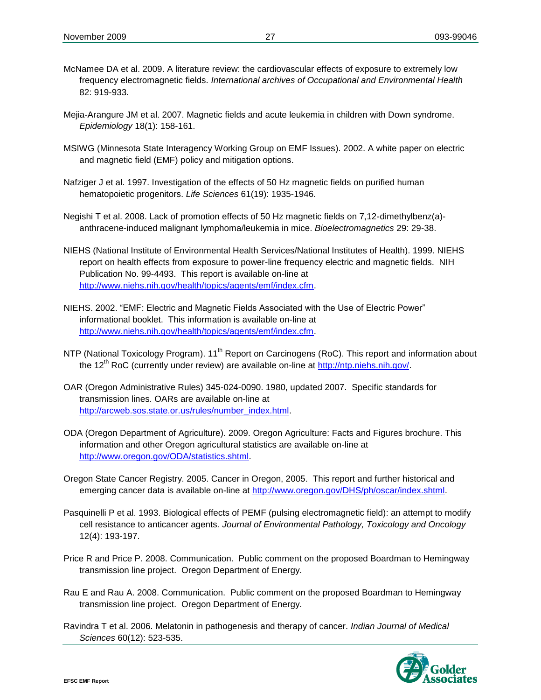- McNamee DA et al. 2009. A literature review: the cardiovascular effects of exposure to extremely low frequency electromagnetic fields. *International archives of Occupational and Environmental Health* 82: 919-933.
- Mejia-Arangure JM et al. 2007. Magnetic fields and acute leukemia in children with Down syndrome. *Epidemiology* 18(1): 158-161.
- MSIWG (Minnesota State Interagency Working Group on EMF Issues). 2002. A white paper on electric and magnetic field (EMF) policy and mitigation options.
- Nafziger J et al. 1997. Investigation of the effects of 50 Hz magnetic fields on purified human hematopoietic progenitors. *Life Sciences* 61(19): 1935-1946.
- Negishi T et al. 2008. Lack of promotion effects of 50 Hz magnetic fields on 7,12-dimethylbenz(a) anthracene-induced malignant lymphoma/leukemia in mice. *Bioelectromagnetics* 29: 29-38.
- NIEHS (National Institute of Environmental Health Services/National Institutes of Health). 1999. NIEHS report on health effects from exposure to power-line frequency electric and magnetic fields. NIH Publication No. 99-4493. This report is available on-line at [http://www.niehs.nih.gov/health/topics/agents/emf/index.cfm.](http://www.niehs.nih.gov/health/topics/agents/emf/index.cfm)
- NIEHS. 2002. "EMF: Electric and Magnetic Fields Associated with the Use of Electric Power" informational booklet. This information is available on-line at [http://www.niehs.nih.gov/health/topics/agents/emf/index.cfm.](http://www.niehs.nih.gov/health/topics/agents/emf/index.cfm)
- NTP (National Toxicology Program). 11<sup>th</sup> Report on Carcinogens (RoC). This report and information about the 12<sup>th</sup> RoC (currently under review) are available on-line at  $\frac{http://ntp.niehs.nih.gov/}{http://ntp.niehs.nih.gov/}$ .
- OAR (Oregon Administrative Rules) 345-024-0090. 1980, updated 2007. Specific standards for transmission lines. OARs are available on-line at [http://arcweb.sos.state.or.us/rules/number\\_index.html.](http://arcweb.sos.state.or.us/rules/number_index.html)
- ODA (Oregon Department of Agriculture). 2009. Oregon Agriculture: Facts and Figures brochure. This information and other Oregon agricultural statistics are available on-line at [http://www.oregon.gov/ODA/statistics.shtml.](http://www.oregon.gov/ODA/statistics.shtml)
- Oregon State Cancer Registry. 2005. Cancer in Oregon, 2005. This report and further historical and emerging cancer data is available on-line at [http://www.oregon.gov/DHS/ph/oscar/index.shtml.](http://www.oregon.gov/DHS/ph/oscar/index.shtml)
- Pasquinelli P et al. 1993. Biological effects of PEMF (pulsing electromagnetic field): an attempt to modify cell resistance to anticancer agents*. Journal of Environmental Pathology, Toxicology and Oncology* 12(4): 193-197.
- Price R and Price P. 2008. Communication. Public comment on the proposed Boardman to Hemingway transmission line project. Oregon Department of Energy.
- Rau E and Rau A. 2008. Communication. Public comment on the proposed Boardman to Hemingway transmission line project. Oregon Department of Energy.
- Ravindra T et al. 2006. Melatonin in pathogenesis and therapy of cancer. *Indian Journal of Medical Sciences* 60(12): 523-535.

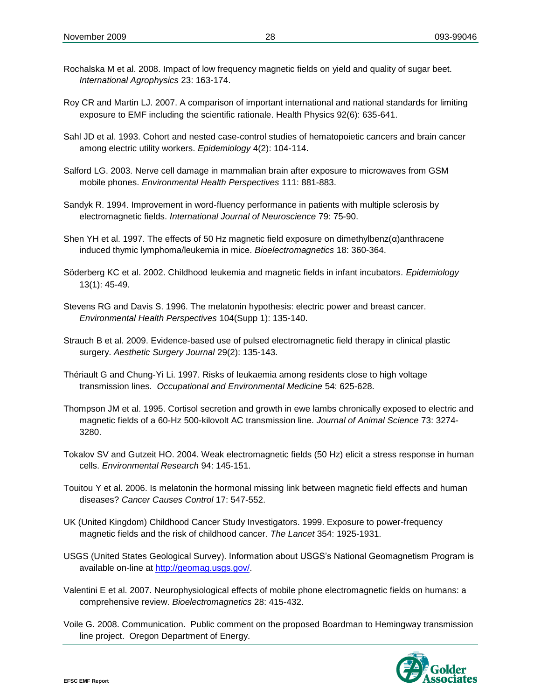- Rochalska M et al. 2008. Impact of low frequency magnetic fields on yield and quality of sugar beet. *International Agrophysics* 23: 163-174.
- Roy CR and Martin LJ. 2007. A comparison of important international and national standards for limiting exposure to EMF including the scientific rationale. Health Physics 92(6): 635-641.
- Sahl JD et al. 1993. Cohort and nested case-control studies of hematopoietic cancers and brain cancer among electric utility workers. *Epidemiology* 4(2): 104-114.
- Salford LG. 2003. Nerve cell damage in mammalian brain after exposure to microwaves from GSM mobile phones. *Environmental Health Perspectives* 111: 881-883.
- Sandyk R. 1994. Improvement in word-fluency performance in patients with multiple sclerosis by electromagnetic fields. *International Journal of Neuroscience* 79: 75-90.
- Shen YH et al. 1997. The effects of 50 Hz magnetic field exposure on dimethylbenz(α)anthracene induced thymic lymphoma/leukemia in mice. *Bioelectromagnetics* 18: 360-364.
- Söderberg KC et al. 2002. Childhood leukemia and magnetic fields in infant incubators. *Epidemiology* 13(1): 45-49.
- Stevens RG and Davis S. 1996. The melatonin hypothesis: electric power and breast cancer. *Environmental Health Perspectives* 104(Supp 1): 135-140.
- Strauch B et al. 2009. Evidence-based use of pulsed electromagnetic field therapy in clinical plastic surgery. *Aesthetic Surgery Journal* 29(2): 135-143.
- Thériault G and Chung-Yi Li. 1997. Risks of leukaemia among residents close to high voltage transmission lines. *Occupational and Environmental Medicine* 54: 625-628.
- Thompson JM et al. 1995. Cortisol secretion and growth in ewe lambs chronically exposed to electric and magnetic fields of a 60-Hz 500-kilovolt AC transmission line. *Journal of Animal Science* 73: 3274- 3280.
- Tokalov SV and Gutzeit HO. 2004. Weak electromagnetic fields (50 Hz) elicit a stress response in human cells. *Environmental Research* 94: 145-151.
- Touitou Y et al. 2006. Is melatonin the hormonal missing link between magnetic field effects and human diseases? *Cancer Causes Control* 17: 547-552.
- UK (United Kingdom) Childhood Cancer Study Investigators. 1999. Exposure to power-frequency magnetic fields and the risk of childhood cancer. *The Lancet* 354: 1925-1931.
- USGS (United States Geological Survey). Information about USGS's National Geomagnetism Program is available on-line at [http://geomag.usgs.gov/.](http://geomag.usgs.gov/)
- Valentini E et al. 2007. Neurophysiological effects of mobile phone electromagnetic fields on humans: a comprehensive review. *Bioelectromagnetics* 28: 415-432.
- Voile G. 2008. Communication. Public comment on the proposed Boardman to Hemingway transmission line project. Oregon Department of Energy.